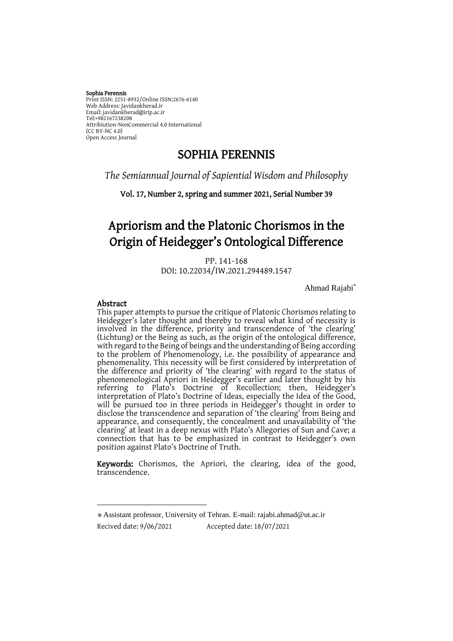#### Sophia Perennis

Print ISSN: 2251-8932/Online ISSN:2676-6140 Web Address: Javidankherad.ir Email[: javidankherad@irip.ac.ir](mailto:javidankherad@irip.ac.ir) [Tel:+982167238208](tel:+982167238208) Attribiution-NonCommercial 4.0 International (CC BY-NC 4.0) Open Access Journal

# SOPHIA PERENNIS

*The Semiannual Journal of Sapiential Wisdom and Philosophy*

Vol. 17, Number 2, spring and summer 2021, Serial Number 39

# Apriorism and the Platonic Chorismos in the Origin of Heidegger's Ontological Difference

PP. 141-168

DOI: 10.22034/IW.2021.294489.1547

Ahmad Rajabi\*

### Abstract

-

This paper attempts to pursue the critique of Platonic Chorismos relating to Heidegger's later thought and thereby to reveal what kind of necessity is involved in the difference, priority and transcendence of 'the clearing' (Lichtung) or the Being as such, as the origin of the ontological difference, with regard to the Being of beings and the understanding of Being according to the problem of Phenomenology, i.e. the possibility of appearance and phenomenality. This necessity will be first considered by interpretation of the difference and priority of 'the clearing' with regard to the status of phenomenological Apriori in Heidegger's earlier and later thought by his referring to Plato's Doctrine of Recollection; then, Heidegger's interpretation of Plato's Doctrine of Ideas, especially the Idea of the Good, will be pursued too in three periods in Heidegger's thought in order to disclose the transcendence and separation of 'the clearing' from Being and appearance, and consequently, the concealment and unavailability of 'the clearing' at least in a deep nexus with Plato's Allegories of Sun and Cave; a connection that has to be emphasized in contrast to Heidegger's own position against Plato's Doctrine of Truth.

Keywords: Chorismos, the Apriori, the clearing, idea of the good, transcendence.

<sup>\*</sup> Assistant professor, University of Tehran. E-mail[: rajabi.ahmad@ut.ac.ir](mailto:rajabi.ahmad@ut.ac.ir) Recived date: 9/06/2021 Accepted date: 18/07/2021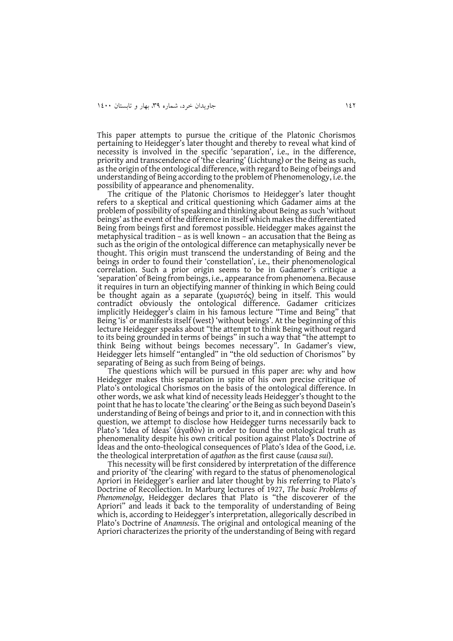This paper attempts to pursue the critique of the Platonic Chorismos pertaining to Heidegger's later thought and thereby to reveal what kind of necessity is involved in the specific 'separation', i.e., in the difference, priority and transcendence of 'the clearing' (Lichtung) or the Being as such, as the origin of the ontological difference, with regard to Being of beings and understanding of Being according to the problem of Phenomenology, i.e. the possibility of appearance and phenomenality.

The critique of the Platonic Chorismos to Heidegger's later thought refers to a skeptical and critical questioning which Gadamer aims at the problem of possibility of speaking and thinking about Being as such 'without beings' as the event of the difference in itself which makes the differentiated Being from beings first and foremost possible. Heidegger makes against the metaphysical tradition – as is well known – an accusation that the Being as such as the origin of the ontological difference can metaphysically never be thought. This origin must transcend the understanding of Being and the beings in order to found their 'constellation', i.e., their phenomenological correlation. Such a prior origin seems to be in Gadamer's critique a 'separation' of Being from beings, i.e., appearance from phenomena. Because it requires in turn an objectifying manner of thinking in which Being could be thought again as a separate (χωριστός) being in itself. This would contradict obviously the ontological difference. Gadamer criticizes implicitly Heidegger's claim in his famous lecture "Time and Being" that Being 'is' or manifests itself (west) 'without beings'. At the beginning of this lecture Heidegger speaks about "the attempt to think Being without regard to its being grounded in terms of beings" in such a way that "the attempt to think Being without beings becomes necessary". In Gadamer's view, Heidegger lets himself "entangled" in "the old seduction of Chorismos" by separating of Being as such from Being of beings.

The questions which will be pursued in this paper are: why and how Heidegger makes this separation in spite of his own precise critique of Plato's ontological Chorismos on the basis of the ontological difference. In other words, we ask what kind of necessity leads Heidegger's thought to the point that he has to locate 'the clearing' or the Being as such beyond Dasein's understanding of Being of beings and prior to it, and in connection with this question, we attempt to disclose how Heidegger turns necessarily back to Plato's 'Idea of Ideas' (ἀγαθὸν) in order to found the ontological truth as phenomenality despite his own critical position against Plato's Doctrine of Ideas and the onto-theological consequences of Plato's Idea of the Good, i.e. the theological interpretation of *agathon* as the first cause (*causa sui*).

This necessity will be first considered by interpretation of the difference and priority of 'the clearing' with regard to the status of phenomenological Apriori in Heidegger's earlier and later thought by his referring to Plato's Doctrine of Recollection. In Marburg lectures of 1927, *The basic Problems of Phenomenolgy,* Heidegger declares that Plato is "the discoverer of the Apriori" and leads it back to the temporality of understanding of Being which is, according to Heidegger's interpretation, allegorically described in Plato's Doctrine of *Anamnesis*. The original and ontological meaning of the Apriori characterizes the priority of the understanding of Being with regard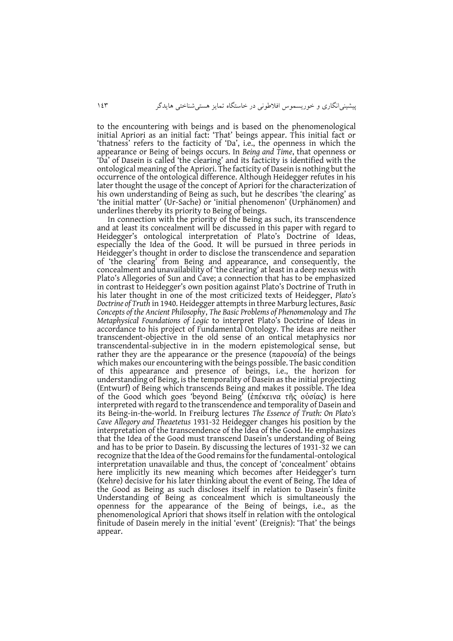to the encountering with beings and is based on the phenomenological initial Apriori as an initial fact: 'That' beings appear. This initial fact or 'thatness' refers to the facticity of 'Da', i.e., the openness in which the appearance or Being of beings occurs. In *Being and Time*, that openness or 'Da' of Dasein is called 'the clearing' and its facticity is identified with the ontological meaning of the Apriori. The facticity of Dasein is nothing but the occurrence of the ontological difference. Although Heidegger refutes in his later thought the usage of the concept of Apriori for the characterization of his own understanding of Being as such, but he describes 'the clearing' as 'the initial matter' (Ur-Sache) or 'initial phenomenon' (Urphänomen) and underlines thereby its priority to Being of beings.

In connection with the priority of the Being as such, its transcendence and at least its concealment will be discussed in this paper with regard to Heidegger's ontological interpretation of Plato's Doctrine of Ideas, especially the Idea of the Good. It will be pursued in three periods in Heidegger's thought in order to disclose the transcendence and separation of 'the clearing' from Being and appearance, and consequently, the concealment and unavailability of 'the clearing' at least in a deep nexus with Plato's Allegories of Sun and Cave; a connection that has to be emphasized in contrast to Heidegger's own position against Plato's Doctrine of Truth in his later thought in one of the most criticized texts of Heidegger, *Plato's Doctrine of Truth* in 1940. Heidegger attempts in three Marburg lectures, *Basic Concepts of the Ancient Philosophy*, *The Basic Problems of Phenomenology* and *The Metaphysical Foundations of Logic* to interpret Plato's Doctrine of Ideas in accordance to his project of Fundamental Ontology. The ideas are neither transcendent-objective in the old sense of an ontical metaphysics nor transcendental-subjective in in the modern epistemological sense, but rather they are the appearance or the presence (παρουσία) of the beings which makes our encountering with the beings possible. The basic condition of this appearance and presence of beings, i.e., the horizon for understanding of Being, is the temporality of Dasein as the initial projecting (Entwurf) of Being which transcends Being and makes it possible. The Idea of the Good which goes 'beyond Being' (ἐπέκεινα τῆς οὐσίας) is here interpreted with regard to the transcendence and temporality of Dasein and its Being-in-the-world. In Freiburg lectures *The Essence of Truth: On Plato's Cave Allegory and Theaetetus* 1931-32 Heidegger changes his position by the interpretation of the transcendence of the Idea of the Good. He emphasizes that the Idea of the Good must transcend Dasein's understanding of Being and has to be prior to Dasein. By discussing the lectures of 1931-32 we can recognize that the Idea of the Good remains for the fundamental-ontological interpretation unavailable and thus, the concept of 'concealment' obtains here implicitly its new meaning which becomes after Heidegger's turn (Kehre) decisive for his later thinking about the event of Being. The Idea of the Good as Being as such discloses itself in relation to Dasein's finite Understanding of Being as concealment which is simultaneously the openness for the appearance of the Being of beings, i.e., as the phenomenological Apriori that shows itself in relation with the ontological finitude of Dasein merely in the initial 'event' (Ereignis): 'That' the beings appear.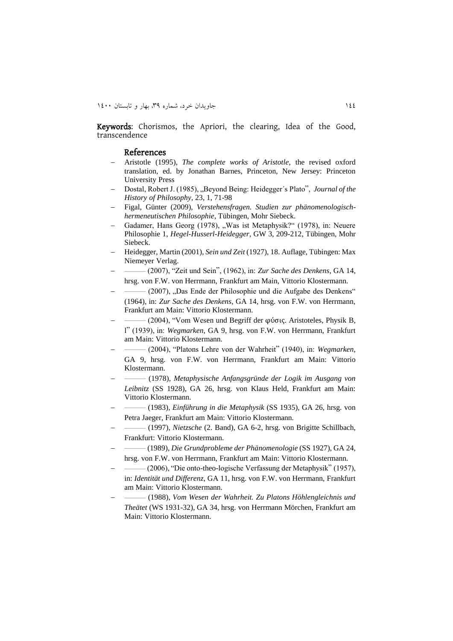Keywords: Chorismos, the Apriori, the clearing, Idea of the Good, transcendence

#### References

- Aristotle (1995), *The complete works of Aristotle*, the revised oxford translation, ed. by Jonathan Barnes, Princeton, New Jersey: Princeton University Press
- Dostal, Robert J. (1985), "Beyond Being: Heidegger's Plato", *Journal of the History of Philosophy*, 23, 1, 71-98
- Figal, Günter (2009), *Verstehensfragen. Studien zur phänomenologischhermeneutischen Philosophie*, Tübingen, Mohr Siebeck.
- Gadamer, Hans Georg (1978), "Was ist Metaphysik?" (1978), in: Neuere Philosophie 1, *Hegel-Husserl-Heidegger*, GW 3, 209-212, Tübingen, Mohr Siebeck.
- Heidegger, Martin (2001), *Sein und Zeit* (1927), 18. Auflage, Tübingen: Max Niemeyer Verlag.
- $\overline{a}$ \_\_\_\_\_\_\_\_\_\_\_\_\_ (2007), "Zeit und Sein", (1962), in: *Zur Sache des Denkens*, GA 14, hrsg. von F.W. von Herrmann, Frankfurt am Main, Vittorio Klostermann.
- $\overline{a}$ \_\_\_\_\_\_\_\_\_\_\_\_\_ (2007), "Das Ende der Philosophie und die Aufgabe des Denkens" (1964), in: *Zur Sache des Denkens*, GA 14, hrsg. von F.W. von Herrmann, Frankfurt am Main: Vittorio Klostermann.
- $\overline{a}$ \_\_\_\_\_\_\_\_\_\_\_\_\_ (2004), "Vom Wesen und Begriff der φύσις. Aristoteles, Physik B, l" (1939), in: *Wegmarken*, GA 9, hrsg. von F.W. von Herrmann, Frankfurt am Main: Vittorio Klostermann.
- $\overline{a}$ \_\_\_\_\_\_\_\_\_\_\_\_\_ (2004), "Platons Lehre von der Wahrheit" (1940), in: *Wegmarken*, GA 9, hrsg. von F.W. von Herrmann, Frankfurt am Main: Vittorio Klostermann.
- $\overline{a}$ \_\_\_\_\_\_\_\_\_\_\_\_\_ (1978), *Metaphysische Anfangsgründe der Logik im Ausgang von Leibnitz* (SS 1928), GA 26, hrsg. von Klaus Held, Frankfurt am Main: Vittorio Klostermann.
- $\overline{a}$ \_\_\_\_\_\_\_\_\_\_\_\_\_ (1983), *Einführung in die Metaphysik* (SS 1935), GA 26, hrsg. von Petra Jaeger, Frankfurt am Main: Vittorio Klostermann.
- $\overline{a}$ \_\_\_\_\_\_\_\_\_\_\_\_\_ (1997), *Nietzsche* (2. Band), GA 6-2, hrsg. von Brigitte Schillbach, Frankfurt: Vittorio Klostermann.
- $\overline{a}$ \_\_\_\_\_\_\_\_\_\_\_\_\_ (1989), *Die Grundprobleme der Phänomenologie* (SS 1927), GA 24, hrsg. von F.W. von Herrmann, Frankfurt am Main: Vittorio Klostermann.
- $\overline{a}$ \_\_\_\_\_\_\_\_\_\_\_\_\_ (2006), "Die onto-theo-logische Verfassung der Metaphysik" (1957), in: *Identität und Differenz*, GA 11, hrsg. von F.W. von Herrmann, Frankfurt am Main: Vittorio Klostermann.
- $\overline{a}$ \_\_\_\_\_\_\_\_\_\_\_\_\_ (1988), *Vom Wesen der Wahrheit. Zu Platons Höhlengleichnis und Theätet* (WS 1931-32), GA 34, hrsg. von Herrmann Mörchen, Frankfurt am Main: Vittorio Klostermann.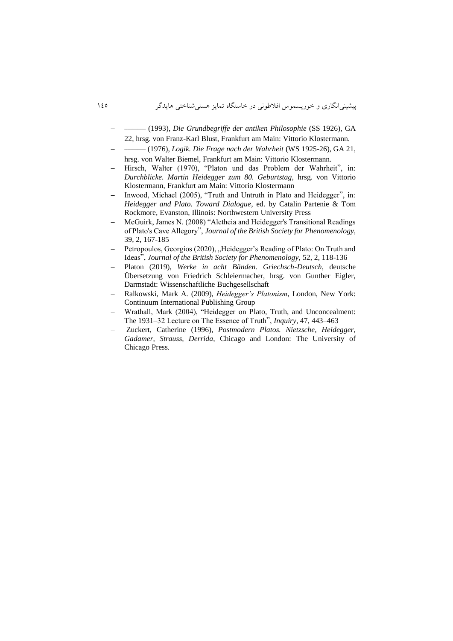- -\_\_\_\_\_\_\_\_\_\_\_\_\_ (1993), *Die Grundbegriffe der antiken Philosophie* (SS 1926), GA 22, hrsg. von Franz-Karl Blust, Frankfurt am Main: Vittorio Klostermann.
- -\_\_\_\_\_\_\_\_\_\_\_\_\_ (1976), *Logik. Die Frage nach der Wahrheit* (WS 1925-26), GA 21, hrsg. von Walter Biemel, Frankfurt am Main: Vittorio Klostermann.
- Hirsch, Walter (1970), "Platon und das Problem der Wahrheit", in: *Durchblicke. Martin Heidegger zum 80. Geburtstag,* hrsg. von Vittorio Klostermann, Frankfurt am Main: Vittorio Klostermann
- Inwood, Michael (2005), "Truth and Untruth in Plato and Heidegger", in: *Heidegger and Plato. Toward Dialogue*, ed. by Catalin Partenie & Tom Rockmore, Evanston, Illinois: Northwestern University Press
- McGuirk, James N. (2008) "Aletheia and Heidegger's Transitional Readings of Plato's Cave Allegory", *Journal of the British Society for Phenomenology*, 39, 2, 167-185
- Petropoulos, Georgios (2020), "Heidegger's Reading of Plato: On Truth and Ideas", *Journal of the British Society for Phenomenology*, 52, 2, 118-136
- Platon (2019), *Werke in acht Bänden. Griechsch-Deutsch*, deutsche Übersetzung von Friedrich Schleiermacher, hrsg. von Gunther Eigler, Darmstadt: Wissenschaftliche Buchgesellschaft
- Ralkowski, Mark A. (2009), *Heidegger's Platonism*, London, New York: Continuum International Publishing Group
- Wrathall, Mark (2004), "Heidegger on Plato, Truth, and Unconcealment: The 1931–32 Lecture on The Essence of Truth", *Inquiry*, 47, 443–463
- Zuckert, Catherine (1996), *Postmodern Platos. Nietzsche, Heidegger, Gadamer, Strauss, Derrida*, Chicago and London: The University of Chicago Press.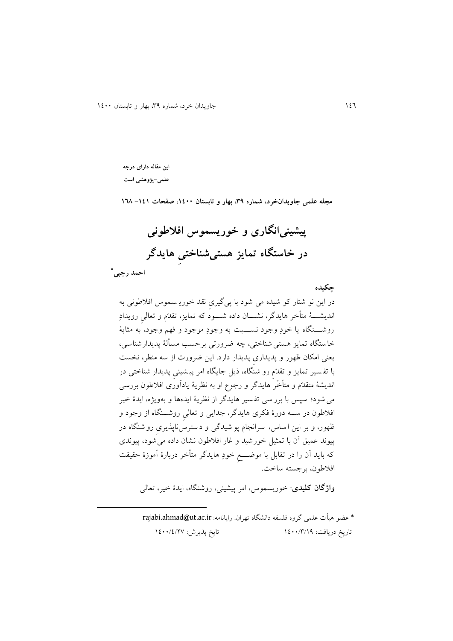**این مقاله دارای درجه علمی-پژوهشی است**

**مجله علمی جاویدانخرد، شماره ،93 بهار و تابستان ،0011 صفحات -000 061**

**پیشینیانگاری و خوریسموس افالطونی در خاستگاه تمایز هستیشناختیِ هایدگر**

 **احمد رجبی\***

**.** 

**چکیده** در اين نو شتار کو شیده می شود با پی گیریِ نقد خوري سموس افالطونی به انديشةةةت مت خر هايدگر، نشةةةان داده شةةةود که تمايز، تقدّم و تعالیِ رويدادِ روشةةةنگاه يا خودِ وجود نسةةةوج به وجودِ موجود و فه، وجود، به م ابت خاستگاه تمايز هستی شناختی، چه ضرورتی برحسب مس لت پديدارشناسی، يعنی امکان ظهور و پديداریِ پديدار دارد. اين ضرورت از سه منظر، نخسج با تف سیر تمايز و تقدّ مِ رو شنگاه، ذيل جايگاه امر پی شینیِ پديدار شناختی در انديشت متقدّم و مت خّر هايدگر و رجوع او به نظريت يادآوری افالطون بررسی میشود؛ سپس با برر سی تف س یر هايدگر از نظريت ايدهها و بهويژه، ايدة خیر افالطون در سةةه دورة فکری هايدگر، جدايی و تعالیِ روشةةنگاه از وجود و ظهور، و بر اين ا ساس، سرانجام پو شیدگی و د سترس ناپذيریِ رو شنگاه در پیوند عمیق آن با تم یل خورشید و غار افالطون نشان داده می شود، پیو ندی که بايد آن را در تقابل با موضةةةخِ خودِ هايدگر مت خر دربارة آموزة حقیقج افالطون، برجسته ساخج.

**واژگان کلیدی**: خوريسموس، امر پیشینی، روشنگاه، ايدة خیر، تعالی

\* عضو هیأت علمی گروه فلسفه دانشگاه تهران. رایانامه: rajabi.ahmad@ut.ac.ir تاريخ دريافت: ١٤٠٠/٣/١٩ تايخ پذيرش: ١٤٠٠/٤/٢٧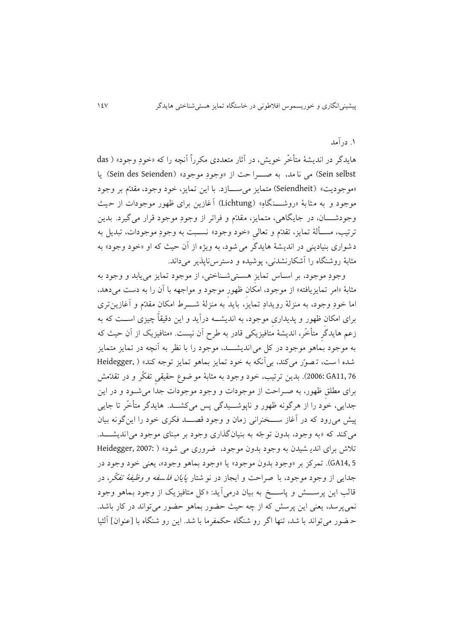# .2 درآمد

هايدگر در انديشهٔ متأخّر خويش، در آثار متعددی مکرراً آنچه را که «خودِ وجود» ( das Sein selbst) می نا مد، به صهوا حت از «وجودِ موجود» (Sein des Seienden) يا «موجوديت» (Seiendheit) متمايز مي ســـازد. با اين تمايز، خود وجود، مقدّم بر وجود موجود و به مثابهٔ «روشــــنگاهِ» (Lichtung) آغازين برای ظهور موجودات از حيث وجودشــــان، در جايگاهی، متمايز، مقدّم و فراتر از وجودِ موجود قرار میگیرد. بدين ترتیب، مســألهٔ تمایز، تقدّم و تعالیِ «خود وجود» نســبت به وجودِ موجودات، تبدیل به دشواری بنیادينی در انديشت هايدگر می شود، به ويژه از آن حیث که او »خود وجود« به مثابهٔ روشنگاه را آشکارنشدنی، پوشیده و دسترسiپذیر میداند.

وجودِ موجود، بر اسـاس تمايزِ هسـتیشـناختی، از موجود تمايز میيابد و وجود به مثابهٔ «امر تمایزیافته» از موجود، امکان ظهور موجود و مواجهه با آن را به دست میدهد، اما خودِ وجود، به منزلهٔ رويدادِ تمايز، بايدَ به منزلهٔ شــــرط امکان مقدّم و آغازين تری برای امکان ظهور و پديداری موجود، به انديشـــه درآيد و اين دقیقاً چیزی اســـت که به زعم هايدگر متأخّر، انديشهٔ متافيزيکی قادر به طرح آن نیست. «متافیزیک از آن حیث که به موجود بُماهو موجود در کل میlانديشــــد، موجود را با نظر به آنچه در تمايز متمايز شده ا سج، ت صوّ ر میکند، بیآنکه به خود تمايز بماهو تمايز توجه کند« ) ,Heidegger 2006: GA11, 76). بدين ترتيب، خود وجود به مثابهٔ مو ضوع حقيقی تفکّر و در تقدّمش برای مطلقِ ظهور، به صـراحت از موجودات و وجود موجودات جداً می شـود و در اين جدايی، خود را از هرگونه ظهور و ناپوشــيدگی پس میکشــد. هايدگر متأخّر تا جايبي پیش میرود که در آغاز ســـخنرانی زمان و وجود قصـــد فکری خود را اينگونه بيان میکند که «به وجود، بدون توجّه به بنیان گذاری وجود بر مبنای موجود می اندیشـــد. تلاش برای اندي شیدن به وجود بدون موجود، ضروری می شود» ( :Heidegger, 2007 5 14,GA). تمرکز بر »وجود بدون موجود« يا »وجود بماهو وجود«، يعنی خود وجود در جدايی از وجود موجود، با صراحت و ايجاز در نو شتار *پايان فلسفه و وظيفهٔ تفکّر*، در قالب اين پرســـش و پاســـخ به بيان درمی آيد: «کل متافيزيک از وجود بـماهو وجود نمیپرسد، يعنی اين پرسش که از چه حیث حضور بماهو حضور می تواند در کار باشد . حـفهور می تواند با شد، تنها اگر رو شنگاه حکمفرما با شد. این رو شنگاه با [عنوان] آلثیا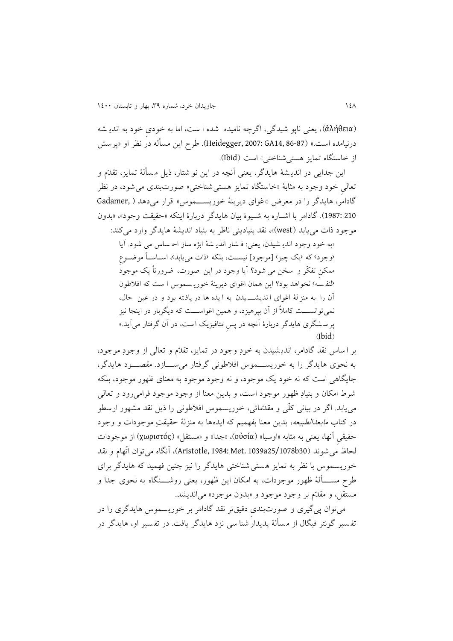)ἀλήθεια)، يعنی ناپو شیدگی، اگرچه نامیده شده ا سج، اما به خودیِ خود به اندي شه درنیامده است.» (87-86 1867;GA14, 86-87). طرح اين مسأله در نظر او «پرسش از خاستگاه تمايز هستي شناختي» است (Ibid).

اين جدايی در انديـشهٔ هايدگر، يعنی آنچه در اين نو شتار، ذيل مـسألهٔ تمايز، تقدّم و تعالی خود وجود به مثابهٔ «خاستگاه تمایز هستی شناختی» صورتبندی می شود، در نظر گادامر، هايدگر را در معرض «اغوای ديرينهٔ خوريســـموس» قرار میدهد ( ,Gadamer 210 1987:(. گادامر با اشةاره به شةیوة بیان هايدگر دربارة اينکه »حقیقج وجود«، »بدون موجود ذات می يابد (west)»، نقد بنیادينی ناظر به بنیاد انديشهٔ هايدگر وارد می کند: »به خود وجود اندي شیدن، يعنی: ف شار اندي شت ابژه ساز اح ساس می شود. آيا (وجود› که ‹یک چیز› [موجود] نیســت، بلکه ‹ذات مییابد›، اســاســاً موضــوعِ

ممکنِ تفکّر و سخن می شود؟ آيا وجود در اين صورت، ضرورتاً يک موجود ›لنف سه ‹ نخواهد بود؟ اين همان اغوای ديرينت خوري سموس ا سج که افالطون آن را به منز لهٔ اغوای ا نديشــــ یدن به ا يده ها در يافته بود و در عین حال، نمیتوانســـت کاملاً از آن بپرهیزد، و همین اغواســـت که دیگربار در اینجا نیز پر سـشگری هايدگر دربارهٔ آنچه در پس متافيزيک است، در آن گرفتار میآيد.»  $(Ibid)$ 

بر اساس نقد گادامر، اندي شیدن به خودِ وجود در تمايز، تقدّم و تعالی از وجودِ موجود، به نحوی هايدگر را به خوريســـموس افلاطونی گرفتار می ســـازد. مقصـــود هايدگر، جايگاهی اسج که نه خود يک موجود، و نه وجود موجود به معنای ظهور موجود، بلکه شرط امکان و بنیادِ ظهور موجود است، و بدین معنا از وجود موجود فرامی رود و تعالی میيابد. اگر در بیانی کلّی و مقدّماتی، خوريسموس افالطونی را ذيل نقد مشهور ارسطو در کتاب *مابعدالطبیعه*، بدین معنا بفهمیم که ایدهها به منزلهٔ حقیقتِ موجودات و وجود حقیقیِ آنها، يعنی به مثابه «اوسیا» (οὐσία)، «جدا» و «مستقل» (χωριστός) از موجودات لحاظ میشوند )30b25/1078a1039 .Met 1984: ,Aristotle)، آنگاه میتوان اتّهام و نقد خوريسموس با نظر به تمايز هستی شناختی هايدگر را نيز چنين فهميد که هايدگر برای طرح مســــألهٔ ظهور موجودات، به امکان اين ظهور، يعنی روشــــنگاه به نحوی جدا و مستقل، و مقدّم بر وجود موجود و »بدون موجود« میانديشد.

میتوان پیگیری و صورت بندیِ دقیقتر نقد گادامر بر خوريسموس هايدگری را در تفسیر گونتر فیگال از مسألهٔ پدیدار شنا سی نزد هایدگر یافت. در تفسیر او، هایدگر در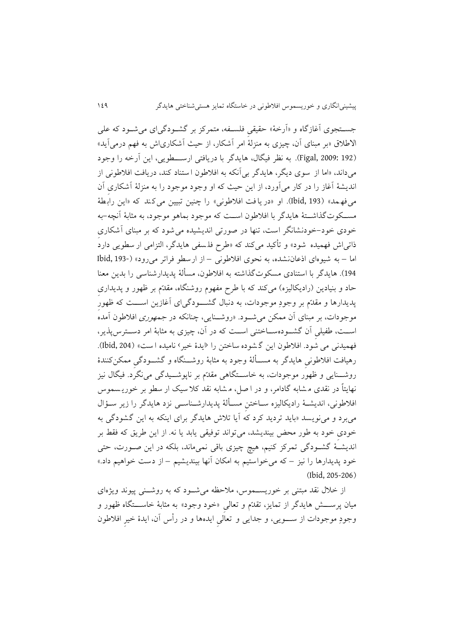جستجوی آغازگاه و «آرخهٔ» حقیقی فلسـفه، متمرکز بر گشـودگیرای میشـود که علی الاطلاق «بر مبنای آن، چیزی به منزلهٔ امر آشکار، از حیث آشکاریاش به فهم درمیآید» )192 2009: ,Figal). به نظر فیگال، هايدگر با دريافتی ارسةةةطويی، اين آرخه را وجود میداند، «اما از سوی ديگر، هايدگر بی آنکه به افلاطون ا ستناد کند، دريافت افلاطونی از انديشهٔ آغاز را در کار میآورد، از اين حيث که او وجود موجود را به منزلهٔ آشکاری آن میفه مد» (Ibid, 193). او «در يافت افلاطوني» را چنين تبيين می کند که «اين رابطهٔ مســکوتگذاشــتهٔ هايدگر با افلاطون اســت که موجود بماهو موجود، به مثابهٔ آنچه-به خودی خود-خودنشانگر اسج، تنها در صورتی انديشیده می شود که بر مونای آشکاریِ ذاتی اش فهمیده شود» و تأکید میکند که «طرح فلسفی هایدگر، التزامی ار سطویی دارد اما – به شیوه ای اذعاننشده، به نحوی افالطونی – از ارسطو فراتر می رود« )193- ,Ibid 194). هايدگر با استنادی مسکوت گذاشته به افلاطون، مسألهٔ پديدارشناسی را بدين معنا حاد و بنیادین (رادیکالیزه) میکند که با طرح مفهوم روشنگاه، مقدّم بر ظهور و پدیداری پديدارها و مقدّم بر وجودِ موجودات، به دنبال گشـــودگیای آغازين اســـت که ظهور موجودات، بر مبنای آن ممکن میشــود. «روشــنایی، چنانکه در *جمهوری* افلاطون آمده<sup>ٔ</sup> اســت، طفیلی آن گشــودهســـاختنی اســت که در آن، چیزی به مثابهٔ امر دســترس2پذیر، فهمیدنی می شود. افلاطون این گشوده ساختن را ‹ایدهٔ خیر› نامیده ا ست» (Ibid, 204). رهیافت افلاطونی هایدگر به مســألهٔ وجود به مثابهٔ روشـــنگاه و گشـــودگیِ ممکن کنندهٔ روشـــنايی و ظهور موجودات، به خاســـتگاهی مقدّم بر ناپوشـــیدگی می $\tilde{\mathcal{Z}}$ رد. فیگال نیز نهايتاً در نقدی م شابه گادامر، و در ا صل، م شابه نقد کال سیک ار سطو بر خوري سموس افلاطونی، انديشـهٔ راديکاليزه ســاختنِ مســألهٔ پديدارشــناســي نزد هايدگر را زير ســؤال میبرد و مینويسد »بايد ترديد کرد که آيا تالش هايدگر برای اينکه به اين گشودگی به خودیِ خود به طور محض بینديشد، میتواند توفیقی يابد يا نه. از اين طريق که فقط بر انديشـهٔ گشــودگی تمرکز کنیم، هیچ چیزی باقی نمیماند، بلکه در این صــورت، حتی خود پدیدارها را نیز – که میخواستیم به امکان آنها بیندیشیم – از دست خواهیم داد.»  $(Ibid. 205-206)$ 

از خلال نقد مبتنی بر خوريسـموس، ملاحظه میشـود که به روشـنی پیوند ويژهای میان پرســــش هايدگر از تمايز، تقدّم و تعالی «خود وجود» به مثابهٔ خاســــتگاه ظهور و وجودِ موجودات از ســــویی، و جدايی و تعالی ايدهها و در رأس آن، ايدهٔ خیرِ افلاطون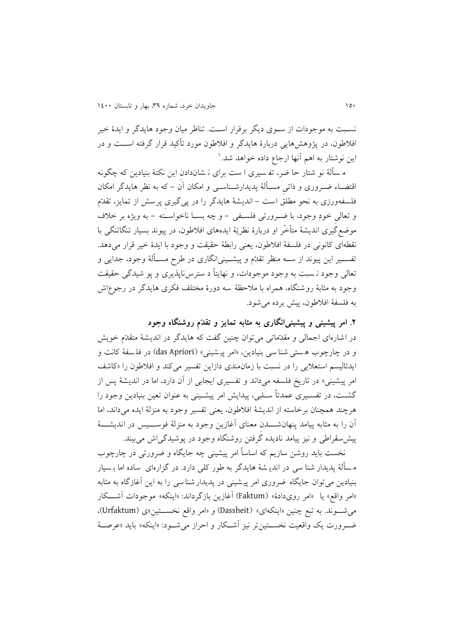نسـبت به موجودات از سـوی ديگر برقرار اسـت. تناظر ميان وجود هايدگر و ايدهٔ خیر افلاطون، در پژوهش،ايی دربارهٔ هايدگر و افلاطون مورد تأکید قرار گرفته اســـت و در ين نوشتار به اهم انها ارجاع داده خواهد شد.'

م سألهٔ نو شتار حا ضر، تفرسیری ا ست برای ن شاندادن این نکتهٔ بنیادین که چگونه اقتضــاء ضــروری و ذاتی مســألهٔ پدیدارشــناســی و امکان آن – که به نظر هایدگر امکان فلسفهورزی به نحو مطلق است – اندیشهٔ هایدگر را در پی گیری پرسش از تمایز، تقدّم و تعالی خودِ وجود، با ضــرورتی فلســفی – و چه بســا ناخواســَته – به ويژه بر خلاف موضع گیری اندیشهٔ متأخّر او دربارهٔ نظریّهٔ ایدههای افلاطون، در پیوند بسیار تنگاتنگی با نقطهای کانونی در فلسفهٔ افلاطون، يعنی رابطهٔ حقیقت و وجود با ايدهٔ خیر قرار میدهد. تفســير اين پیوند از ســـه منظر تقدّم و پیشــينی|نگاری در طرح مســألهٔ وجود، جدايی و تعالی وجود ن سبت به وجود موجودات، و نهايتاً د سترس ناپذيری و پو شيدگی حقيقت وجود به مثابهٔ روشنگاه، همراه با ملاحظهٔ سه دورهٔ مختلف فکری هایدگر در رجوعاش به فلسفت افالطون، پیش برده میشود.

**.2 امر پیشینی و پیشینیانگاری به مثابه تمایز و تقدّم روشنگاه وجود** در اشارهای اجمالی و مقدّماتی می توان چنین گفت که هایدگر در اندیشهٔ متقدّم خویش و در چارچوب هستی شنا سی بنیادین، «امر پیشینی» (das Apriori) در فلمسفهٔ کانت و ايدئاليسم استعلايی را در نسبت با زمان مندی دازاين تفسير میکند و افلاطون را «کاشف امر پیشینی» در تاریخ فلسفه میداند و تفسیری ایجابی از آن دارد، اما در اندیشهٔ پس از گشـت، در تفسـيری عمدتاً سـلبي، پیدايش امر پیشـينی به عنوان تعین بنیادين وجود را هرچند همچنان برخاسته از انديشهٔ افلاطون، يعنی تفسير وجود به منزلهٔ ايده میداند، اما آن را به مثابه پیامد پنهانشـــــدن معنای آغازین وجود به منزلهٔ فوســـــیس در اندیشـــــهٔ پیش سقراطی و نیز پیامد نادیده گرفتن روشنگاه وجود در پوشیدگی اش می بیند.

نخست بايد روشن سازيم که اساساً امر پیشینی چه جايگاه و ضرورتی در چارچوب م س لت پديدار شنا سی در اندي شت هايدگر به طور کلی دارد. در گزارهای ساده اما ب سیار بنيادين می توان جايگاه ضروری امر پيشينی در پديدار شنا سی را به اين آغازگاه به مثابه «امر واقع» يا «امر رويدادهٔ» (Faktum) آغازين بازگرداند: «اينکه» موجودات آشـــکار میشةةوند. به توخ چنین »اينکهای« )Dassheit )و »امر واقخ نخسةةتین«ی )Urfaktum)، ضـرورت يک واقعیت نخســتینتر نیز آشــکار و احراز می شــود: «اينکه» بايد «عرصــهٔ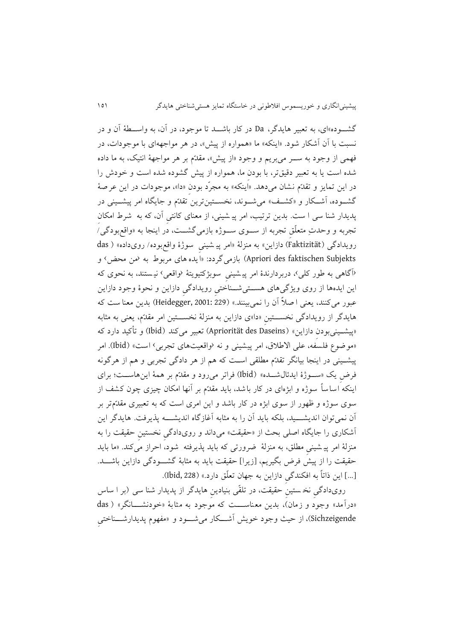گشـــوده»ای، به تعبیر هایدگر، Da در کار باشـــد تا موجود، در آن، به واســـطهٔ آن و در نسبت با آن آشکار شود. «اينکه» ما «همواره از پيش»، در هر مواجههای با موجودات، در فهمی از وجود به ســـر میبريم و وجود «از پیش»، مقدّم بر هر مواجههٔ انتیک، به ما داده شده اسج يا به تعویر دقیقتر، با بودنِ ما، همواره از پیش گشوده شده اسج و خودش را در اين تمايز و تقدّم نشان می دهد. »اينکه« به مجرّد بودنِ »دا«، موجودات در اين عرصت گشـوده، آشـكار و «کشـف» می شـوند، نخسـتینترین تقدّم و جایگاه امر پیشـینی در پديدار شنا سی ا سج . بدين ترتیب، امر پی شینی، از معنای کانتیِ آن، که به شرم امکانِ تجربه و وحدتِ متعلّق تجربه از سـوی سـوژه بازمیگشــت، در اینجا به «واقعبودگی/ رویدادگی (Faktizität) دازاين» به منزلهٔ «امر پيه شينی سوژهٔ واقع بوده/ روی داده» ( das Apriori des faktischen Subjekts) بازمی گردد: «ايده های مربوط به همن محض› و ›آگاهی به طور کلی‹، دربردارندة امر پی شینیِ سوبژکتیويتت ›واقعی‹ نی ستند، ب ه نحوی که اين ايدهها از روی ويژگیِهای هســـتیشـــناختیِ رويدادگیِ دازاين و نحوهٔ وجود دازاين عوور میکنند، يعنی ا صالً آن را نمی بینند.« )229 2001: ,Heidegger )بدين معنا سج که هايدگر از رويدادگی نخســــتینِ «دا»ی دازاين به منزلهٔ نخســـتین امر مقدّم، يعنی به مثابه بیشینیبودن دازاین» (Apriorität des Daseins) تعبیر میکند (Ibid) و تأکید دارد که «موضوع فلسفه، علی الاطلاق، امر پیشینی و نه (واقعیتهای تجربی› است» (Ibid). امر پیشــینی در اینجا بیانگر تقدّم مطلقی اســت که هم از هر دادگی تجربی و هم از هرگونه فرض يک «سـوژهٔ ايدئالشـده» (Ibid) فراتر میرود و مقدّم بر همهٔ اينهاسـت؛ برای اينکه اساساً سوژه و ابژهای در کار باشد، بايد مقدّم بر آنها امکان چيزی چون کشف از سوی سوژه و ظهور از سوی ابژه در کار باشد و این امری است که به تعبیری مقدّمتر بر آن نمیتوان انديشـــيد، بلکه بايد آن را به مثابه آغازگاه انديشــــه پذيرفت. هايدگر اين آشکاری را جايگاه اصلی بحث از »حقیقج« میداند و رویدادگیِ نخستینِ حقیقج را به منزلهٔ امر پیشینی مطلق، به منزلهٔ ضرورتی که باید پذیرفته شود، احراز میکند. «ما باید حقیقت را از پیش فرض بگیریم، [زیرا] حقیقت باید به مثابهٔ گشـودگی دازاین باشـــد. ]...[ اين ذاتاً به افکندگیِ دازاين به جهان تعلّق دارد.« )228 ,Ibid).

رویدادگیِ نخستینِ حقیقت، در تلقّی بنیادینِ هایدگر از پدیدار شنا سی (بر ا ساس «درآمد» وجود و زمان)، بدين معناســـت که موجود به مثابهٔ «خودنشـــانگر» ( das Sichzeigende)، از حیث وجود خويش آشـــکار می شـــود و «مفهوم پديدارشـــناختی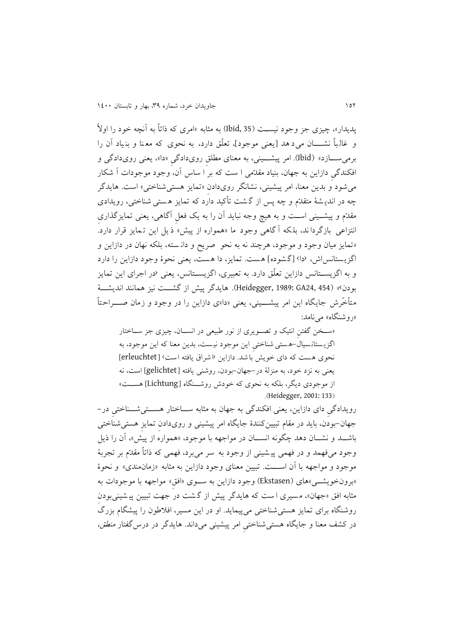پدیدار»، چیزی جز وجود نیست (Ibid, 35) به مثابه «امری که ذاتاً به آنچه خود را اولاً و غالباً نشــــان می د هد [يعنی موجود]، تعلّق دارد، به نحوی که معنا و بنياد آن را برمیســـازد» (Ibid). امر پیشـــینی، به معنای مطلقِ رویدادگیِ «دا»، يعنی رویدادگی و افکندگیِ دازاين به جهان، بنیاد مقدّمی ا سج که بر ا ساس آن، وجود موجودات آ شکار می شود و بدين معنا، امر پيشيني، نشانگر رویدادن «تمايز هستی شناختی» است. هايدگر چه در انديـشهٔ متقدّم و چه پس از گـشت تأکید دارد که تمايز هـستی شناختی، رويدادی مقدّم و پیشــینی اســت و به هیچ وجه نباید آن را به یک فعل آگاهی، یعنی تمایزگذاری انتزاعی بازگردا ند، بل که آ گاهی وجود ما »همواره از پیش« ذ يل اين ت مايز قرار دارد. »تمايز میان وجود و موجود، هرچند نه به نحو صريح و دان سته، بلکه نهان در دازاين و اگزيستانس اش، ‹دا› [گشوده] هست. تمايز، دا هست، يعنی نحوهٔ وجود دازاين را دارد و به اگزيســتانس دازاين تعلّق دارد. به تعبيري، اگزيســتانس، يعنی <sup>ر</sup>در اجرای اين تمايز بودن» (Heidegger, 1989: GA24, 454). هايدگر پیش از گشـــت نیز همانند انديشـــهٔ متأخّرش جايگاه اين امر پيشــــينی، يعنی «دا»ی دازاين را در وجود و زمان صــــراحتاً «روشنگاه» مے نامد:

«سـخن گفتن انتیک و تصویری از نور طبیعی در انسـان، چیزی جز سـاختار اگزي ستان سیال -ه ستی شناختیِ اين موجود نی سج ، بدين معنا که اين موجود، به نحوی هست که دای خويش باشد. دازاين ۱ شراق يافته است › [erleuchtet] يعنی به نزد خود، به منزلت در-جهان-بودن، روشنی يافته ]gelichtet ]اسج، نه از موجودی ديگر، بلکه به نحوی که خودش روشـنگاه [Lichtung] هســت» .(Heidegger, 2001: 133)

رویدادگی دای دازاین، يعنی افکندگی به جهان به مثابه ســاختار هســـتیشـــناختی در-جهان–بودن، بايد در مقام تبيينکنندهٔ جايگاه امر پيشينی و رویدادن تمايزِ هستی شناختی باشــد و نشــان دهد چگونه انســان در مواجهه با موجود، «همواره از پیش»، آن را ذيل وجود میفهمد و در فهمی پی شینی از وجود به سر می برد، فهمی که ذاتاً مقدّم بر تجربت موجود و مواجهه با آن اســـت. تبيين معنای وجود دازاين به مثابه «زمانمندی» و نحوهٔ «برونخويشــي»های (Ekstasen) وجود دازاين به ســوی «افق» مواجهه با موجودات به مثابه افق «جهان»، مسیری ا ست که هایدگر پیش از گشت در جهت تبیین پیشینی بودن روشنگاه برای تمايز هستی شناختی می پیمايد. او در اين مسیر، افالطون را پیش گام بزرگ در کشف معنا و جايگاه هستی شناختیِ امر پیشینی می داند. هايدگر در درسگفتار منطق،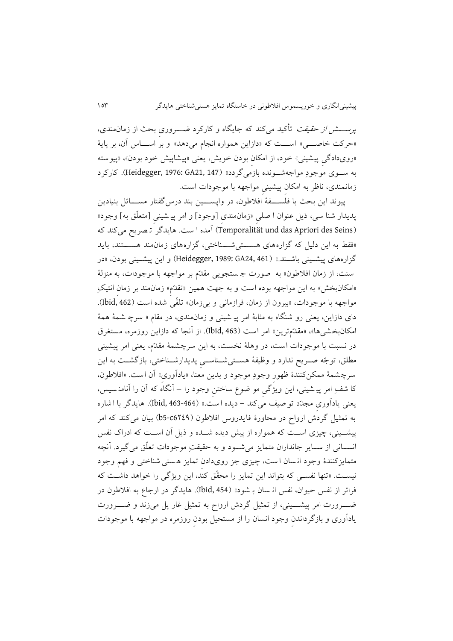*پرســـــش از حقیقت* تأکید میکند که جایگاه و کارکرد ضــــــروری بحث از زمان0مندی، «حرکت خاصــــي» اســــت که «دازاين همواره انجام میدهد» و بر اســــاس آن، بر پايهٔ «رویدادگی پیشینی» خود، از امکان بودن خویش، یعنی «پیشاپیش خود بودن»، «پیوسته به سـوی موجودِ مواجهشــونده بازمیگردد» (Heidegger, 1976: GA21, 147). کارکرد زمانمندی، ناظر به امکانِ پیشینیِ مواجهه با موجودات اسج.

پیوند این بحث با فلســـفهٔ افلاطون، در واپســـین بند درس گفتار مســـائل بنیادین پديدار شنا سی، ذيل عنوان ا صلیِ «زمانمندی [وجود] و امر پیـ شینی [متعلّق به] وجود» )Seins des Apriori das und Temporalität )آمده ا سج. هايدگر ت صريح می کند که «فقط به اين دليل كه گزاره های هســـتی شـــناختی، گزاره های زمان مند هســـتند، بايد گزارههای پیشـینی باشــند.» (1461 Heidegger, 1989: GA24, 461) و این پیشـینی بودن، «در سنت، از زمان افلاطون» به صورت جستجويی مقدّم بر مواجهه با موجودات، به منزلة «امکانبخش» به اين مواجهه بوده است و به جهت همين «تقدّم» زمانمند بر زمان انتيکِ مواجهه با موجودات، «بیرون از زمان، فرازمانی و بی زمان» تلقّی شده است (1bid, 462). دای دازاين، يعنی رو شنگاه به مثابهٔ امر پيـ شينی و زمان¤مندی، در مقام « سرچ شمهٔ همهٔ امکانبخشی ها«، »مقدّمترين« امر اسج )463 ,Ibid). از آنجا که دازاين روزمره، مستغرق در نسبت با موجودات است، در وهلهٔ نخست، به اين سرچشمهٔ مقدّم، يعنی امر پیشینی مطلق، توجّه صــريح ندارد و وظیفهٔ هســتیشــناســی پديدارشــناختی، بازگشــت به اين سرچشمهٔ ممکنکنندهٔ ظهورِ وجودِ موجود و بدين معنا، «يادآوری» آن است. «افلاطون، کا شفِ امر پی شینی، اين ويژگیِ مو ضوع ساختنِ وجود را – آنگاه که آن را آنامن سیس، يعنی يادآوریِ مجدّد تو صیف می کند - ديده ا سج. « )463-464 ,Ibid). هايدگر با ا شاره به تمثیل گردش ارواح در محاورهٔ فایدروس افلاطون (614\$c6-b بیان می کند که امر پیشــینی، چیزی اســت که همواره از پیش دیده شــده و ذیل آن اســت که ادراک نفس انســانی از ســاير جانداران متمايز میشـــود و به حقیقتِ موجودات تعلّق میگیرد. آنچه متمايزکنندهٔ وجود انسان است، چیزی جز رویدادن تمايز هستی شناختی و فهم وجود نیست. «تنها نفسی که بتواند اين تمايز را محقّق کند، اين ويژگی را خواهد داشت که فراتر از نفس حیوان، نفس ان سان بـ شود» (Ibid, 454). هایدگر در ارجاع به افلاطون در ضــــــــرورت امر پیشـــــينی، از تمثيل گردش ارواح به تمثيل غار پل میزند و ضـــــــرورت يادآوری و بازگرداندنِ وجود انسان را از مستحیل بودنِ روزمره در مواجهه با موجودات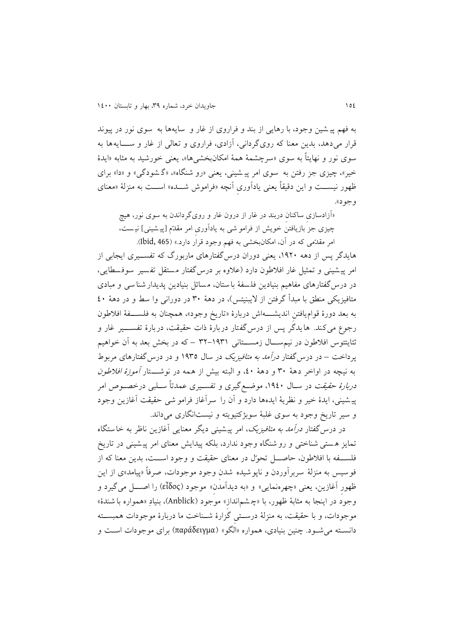به فه، پی شین وجود، با رهايی از بند و فراروی از غار و سايه ها به سوی نور در پیوند قرار میدهد، بدين معنا که روی گردانی، آزادی، فراروی و تعالی از غار و ســــايهها به سوی نور و نهايتاً به سوی «سرچشمهٔ همهٔ امکانبخشیها»، يعنی خورشید به مثابه «ایدهٔ خیر»، چیزی جز رفتن به سوی امر پیشینی، یعنی «رو شنگاه»، «گ شودگی» و «دا» برای ظهور نیســـت و این دقیقاً یعنی یادآوری آنچه «فراموش شـــده» اســـت به منزلهٔ «معنای وجود«.

»آزادسازیِ ساکنانِ دربند در غار از درون غار و رویگرداندن به سوی نور، هیچ چیزی جز بازیافتن خویش از فرامو شی به یادآوری امر مقدّم [پیشینی] نیست، امر مقدّمی که در آن، امکانبخشی به فهم وجود قرار دارد.» (Ibid, 465).

هايدگر پس از دهه ،2311 يعنی دوران درسگفتارهای ماربورگ که تفسةةیری ايجابی از امر پیشینی و تمثیل غار افلاطون دارد (علاوه بر درس گفتار مستقل تفسیر سوفسطایی، در درس گفتارهای مفاهیم بنیادین فلسفهٔ باستان، مسائل بنیادین پدیدار شنا سی و مبادی متافيزيکی منطق با مبدأ گرفتن از لايبنيتس)، در دههٔ ۳۰ در دورانی وا سط و در دههٔ ٤٠ به بعد دو رة قواميافتنِ انديشةةةه اش دربارة »تاريخ وجود «، همچنان به فلسةةةفت افالطون رجوع میکند. هايدگر پس از درس گفتار دربارهٔ ذات حقیقت، دربارهٔ تفســــیر غار و ثئايتتوس افلاطون در نیم،ســـال زمســـتانی ۱۹۳۱–۳۲ – که در بخش بعد به آن خواهیم پرداخت – در درس<sup>گفتار در*آمد به متافیزیک* در سال ۱۹۳۵ و در درس گفتارهای مربوط</sup> به نیچه در اواخر دههٔ ۳۰ و دههٔ ٤٠، و البته بیش از همه در نوشـــتار *آموزهٔ افلاطون* د*ربارهٔ حقیقت* در ســال ۱۹٤۰، موضــع گیری و تفســیری عمدتاً ســلبی درخصــوص امر پی شینی، ايدة خیر و نظريت ايدهها دارد و آن را سرآغاز فرامو شی حقیقج آغازين وجود و سیر تاریخ وجود به سوی غلبهٔ سوبژکتیویته و نیستانگاری میداند.

در درسگفتار درآمد به متافیزيک، امر پیشینی ديگر معنايی آغازين ناظر به خاستگاه تمايز ه ستی شناختی و رو شنگاه وجود ندارد، بلکه پیدايش معنای امر پی شینی در تاريخ فلســفه با افلاطون، حاصـــل تحوّل در معنای حقیقت و وجود اســـت، بدين معنا که از فوسیس به منزلهٔ سربرآوردن و ناپوشیده شدن وجود موجودات، صرفاً «پیامد»ی از این ظهورِ آغازين، يعنی »چهرهنمايی« و »به ديدآمدنِ« موجود )εἶδος )را اصةةةل میگیرد و وجود در اینجا به مثابهٔ ظهور، با «چشم|نداز» موجود (Anblick)، بنیادِ «همواره با شندهٔ» موجودات، و با حقیقت، به منزلهٔ درستی گزارهٔ شـناخت ما دربارهٔ موجودات همبسـته دانسةته می شةود . چنین بنیادی، همواره »الگو« )παράδειγμα )برای موجودات اسةج و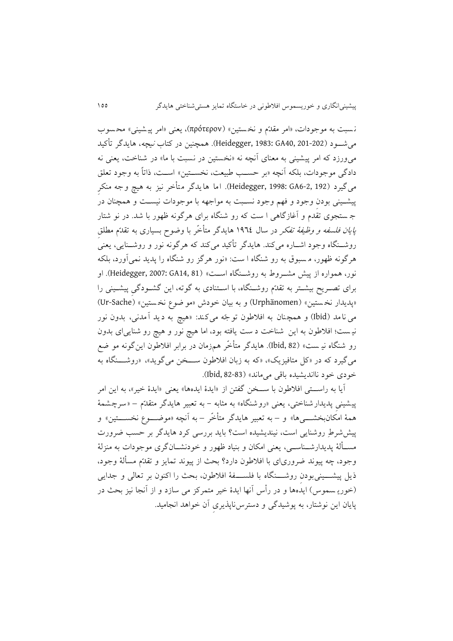ن سوج به موجودات، »امر مقدّم و نخ ستین « )πρότερον)، يعنی »امر پی شینی « مح سوب میشـــود (202-301 :383; GA40, 201). همچنین در کتاب *نیچه*، هایدگر تأکید می $\epsilon$ ورزد که امر پیشینی به معنای آنچه نه «نخستین در نسبت با ما» در شناخت، یعنی نه دادگی موجودات، بلکه آنچه «بر حسب طبیعت، نخســتین» اســت، ذاتاً به وجود تعلق میگیرد (192 .GA6-2 (1998: GA6-2). اما هايدگر متأخر نیز به هیچ وجه منکرِ پیشـینی بودن وجود و فهم وجود نسـبت به مواجهه با موجودات نیسـت و همچنان در ج ستجوی تقدم و آغازگاهی ا سج که رو شنگاه برای هرگونه ظهور با شد. در نو شتار *پايان فلسفه و وظیفهٔ تفکر* در سال ١٩٦٤ هايدگر متأخّر با وضوح بسياری به تقدّم مطلق روشــنگاه وجود اشــاره میکند. هايدگر تأکيد میکند که هرگونه نور و روشــنايی، يعنی هرگونه ظهور، م سووق به رو شنگاه ا سج: »نور هرگز رو شنگاه را پديد نمی آورد، بلکه نور، همواره از پیش مشــروط به روشــنگاه اســت» (Heidegger, 2007: GA14, 81). او برای تصـریح بیشـتر به تقدّم روشــنگاه، با اسـتنادی به گوته، این گشــودگی پیشــینی را «پديدار نخستين» (Urphänomen) و به بيان خودش «مو ضوع نخستين» (Ur-Sache) می نامد )Ibid )و همچنان به افالطون توجّ ه میکند: »هیچ به ديد آمدنی، بدون نور نیست؛ افلاطون به اين شناخت د ست يافته بود، اما هیچ نور و هیچ رو شنايی ای بدون رو شنگاه نیـ ست» (Ibid, 82). هايدگر متأخّر هم;زمان در برابر افلاطون اينگونه مو ضع میگیرد که در «کل متافیزیک»، «که به زبان افلاطون ســـخن میگوید»، «روشـــنگاه به خودی خود ناانديشيده باقی می ماند» (83-82 ,Ibid).

آيا به راســـتی افلاطون با ســـخن گفتن از «ايدهٔ ايدهها» يعنی «ايدهٔ خیر»، به اين امر پیشینی پدیدار شناختی، یعنی «رو شنگاه» به مثابه – به تعبیر هایدگر متقدّم – «سرچشمهٔ همهٔ امکانبخشــــیها» و – به تعبیر هایدگر متأخّر – به آنچه «موضــــوع نخســــتین» و پیششرطِ روشنايی است، نیندیشیده است؟ بايد بررسی کرد هايدگر بر حسب ضرورت مســألهٔ پديدارشــناســـي، يعنی امکان و بنياد ظهور و خودنشــانگری موجودات به منزلهٔ وجود، چه پیوند ضروری ای با افالطون دارد؟ بحث از پیوند تمايز و تقدّم مس لت وجو د، ذيل پیشــــينیبودن روشــــنگاه با فلســـفهٔ افلاطون، بحث را اکنون بر تعالی و جدايبی )خوري سموس( ايدهها و در رأس آنها ايدة خیر متمرکز می سازد و از آنجا نیز بحث در پايان اين نوشتار، به پوشیدگی و دسترسناپذيریِ آن خواهد انجامید.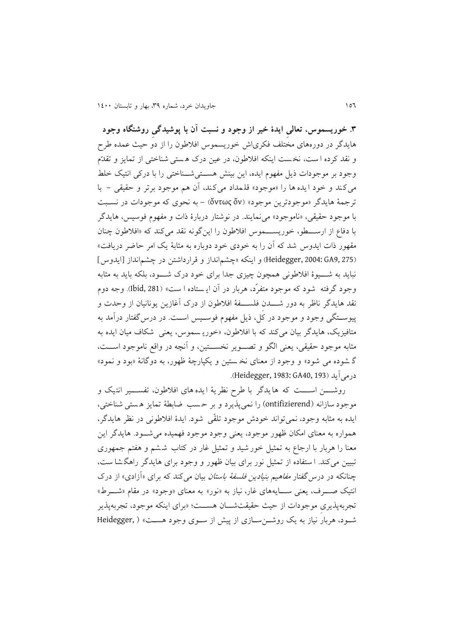**.9 خوریسموس، تعالیِ ایدة خیر از وجود و نسبت آن با پوشیدگیِ روشنگاه وجود** هايدگر در دورههای مختلف فکریاش خوريسموس افالطون را از دو حیث عمده طرح و نقد کرده ا سج، نخ سج اينکه افالطون، در عین درن ه ستی شناختی از تمايز و تقدّم وجود بر موجودات ذيل مفهوم ايده، اين بينش هستی شناختی را با درکی انتیک خلط می کند و خود ايده ها را «موجود» قلمداد می کند، آن هم موجود برتر و حقيقی - با ترجمت هايدگر »موجودترين موجود« )ὄν ὄντως )- به نحوی که موجودات در نسةوج با موجود حقیقی، »ناموجود« مینمايند. در نوشتار دربارة ذات و مفهوم فوسیس، هايدگر با دفاع از ارســـطو، خوريســـموس افلاطون را اين گونه نقد می کند که «افلاطون چنان مقهور ذات ايدوس شد که آن را به خودی خود دوباره به مثابهٔ يک امر حاضر دريافت» )275 9,GA 2004: ,Heidegger )و اينکه »چش،انداز و قرارداشتن در چش،انداز ]ايدوس[ نبايد به شــــيوهٔ افلاطونی همچون چیزی جدا برای خود درک شــــود، بلکه بايد به مثابه وجود گرفته شود که موجود متفرّد، هربار در آن ايـستاده ا ست» (Ibid, 281). وجه دوم نقد هايدگر ناظر به دور شــــدن فلســــفهٔ افلاطون از درک آغازين يونانیان از وحدت و پیوستگی وجود و موجود در کل، ذیل مفهوم فوسـیس اسـت. در درس گفتار درآمد به متافيزيک، هايدگر بيان ميکند که با افلاطون، «خوريـ سموس، يعنی شکاف ميان ايده به مثابه موجود حقیقی، يعنی الگو و تصـوير نخســـتین، و آنچه در واقع ناموجود اســـت، گ شوده می شود» و وجود از معنای نخ ستین و یکپارچهٔ ظهور، به دوگانهٔ «بود و نمود» .)Heidegger, 1983: GA40, 193( درمیآيد

روشــــن اســــت که هايدگر با طرح نظريهٔ ايده های افلاطون، تفســـير انتيک و موجود سازانه )ontifizierend )را نمیپذيرد و بر ح سب ضابطت تمايز ه ستی شناختی، ايده به مثابه وجود، نمی تواند خودش موجود تلقّی شود. ايدهٔ افلاطونی در نظر هايدگر، همواره به معنای امکان ظهور موجود، يعنی وجود موجود فهميده می شـود. هايدگر اين معنا را هربار با ارجاع به تمثیل خور شید و تمثیل غار در کتاب ششم و هفتم جمهوری تبیین میکند. ا ستفاده از تمثیل نور برای بیان ظهور و وجود برای هایدگر راهگشا ست، چنانکه در درس گفتار *مفاهیم بنیادین فلسفهٔ باستان* بیان میکند که برای «آزادی» از درک انتیک صــــرف، يعنی ســــايههای غار، نیاز به «نور» به معنای «وجود» در مقام «شــــرط» تجربهپذيری موجودات از حيث حقيقتشـــان هســـت؛ «برای اينکه موجود، تجربهپذير شهود، هربار نیاز به یک روشـن سـازی از پیش از سـوی وجود هسـت» ( ,Heidegger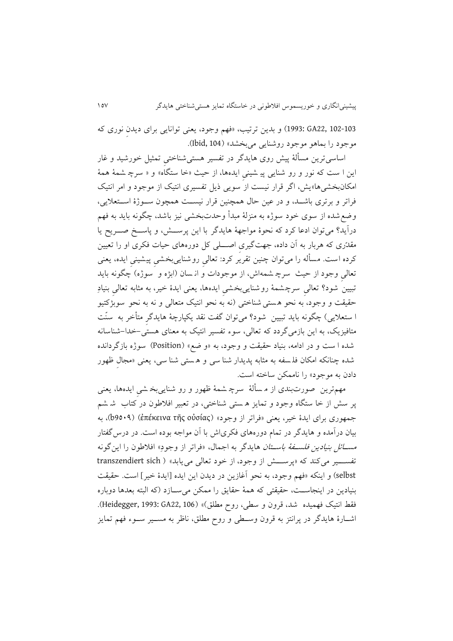102-103 22,GA 1993: )و بدين ترتیب، »فه، وجود، يعنی توانايی برای ديدنِ نوری که موجود را بماهو موجود روشنايی میبخشد« )104 ,Ibid).

اساسی ترین مسألهٔ پیش روی هایدگر در تفسیر هستی شناختی تمثیل خورشید و غار اين ا ست که نور و رو شنايی پيـ شينی ايدهها، از حيث «خا ستگاه» و « سرچ شـمهٔ هـمهٔ امکانبخشی ها»يش، اگر قرار نیست از سويی ذيل تفسیری انتیک از موجود و امر انتیک فراتر و برتری باشـد، و در عین حال همچنین قرار نیسـت همچون سـوژهٔ اسـتعلایی، وضع شده از سوی خود سوژه به منزلهٔ مبدأ وحدتبخشی نیز باشد، چگونه باید به فهم درآيد؟ می توان ادعا کرد که نحوهٔ مواجههٔ هايدگر با اين پرســـش، و پاســخ صـــريح يا مقدّری که هربار به آن داده، جهتگیری اصــــلی کل دورههای حیات فکری او را تعیین کرده است. مسأله را می توان چنین تقریر کرد: تعالیِ روشناییبخشی پیشینی ایده، یعنی تعالیِ وجود از حیث سرچ شمهاش، از موجودات وَ انـسان (ابژه و َ سوژه) چگونه بايد تبیین شود؟ تعالی سرچشمهٔ روشناییِبخشی ایدهها، یعنی ایدهٔ خیر، به مثابه تعالی بنیادِ حقیقت و وجود، به نحو هستی شناختی (نه به نحو انتیک متعالی و نه به نحو سوبژکتیو ا ستعلايی) چگونه بايد تبيين شود؟ میتوان گفت نقد يکپارچهٔ هايدگر متأخر به سنّت متافیزيک، به اين بازمیگردد که تعالی، سو تفسیر انتیک به معنای هستی -خدا-شناسانه شده ا سج و در ادامه، بنیاد حقیقج و وجود، به »و ضخ « )Position )سو اه بازگردانده شده چنانکه امکان فل<sub>ـ</sub>سفه به مثابه پدیدار شنا سی و هستی شنا سی، یعنی «مجال ظهور دادن به موجود« را ناممکن ساخته اسج.

مهمترين صورتبندی از م سألهٔ سرچ شمهٔ ظهور و رو شنايی بخ شی ايدهها، يعنی پر سش از خا ستگاه وجود و تمایز ه ستی شناختی، در تعبیر افلاطون در کتاب ً ش شم جمهوری برای ايدهٔ خير، يعنی «فراتر از وجود» (ἐπέκεινα τῆς οὐσίας)، به بیان درآمده و هايدگر در تمام دورههای فکریاش با آن مواجه بوده اسج. در درسگفتار مس*ـــائل بنيادين فلســفهٔ باســتان* هايدگر به اجمال، «فراتر از وجودِ» افلاطون را اينگونه تفسسه میکند که «پرسش از وجود، از خود تعالی می یابد» ( transzendiert sich selbst) و اينکه «فهم وجود، به نحو آغازين در ديدن اين ايده [ايدهٔ خير] است. حقيقت بنیادین در اینجاســت، حقیقتی که همهٔ حقایق را ممکن میســازد (که البته بعدها دوباره فقط انتیک فهمیده شد، قرون و سطی، روح مطلق)» (Heidegger, 1993: GA22, 106). اشارهٔ هايدگر در پرانتز به قرون وسطی و روح مطلق، ناظر به مسـير سـوء فهم تمايز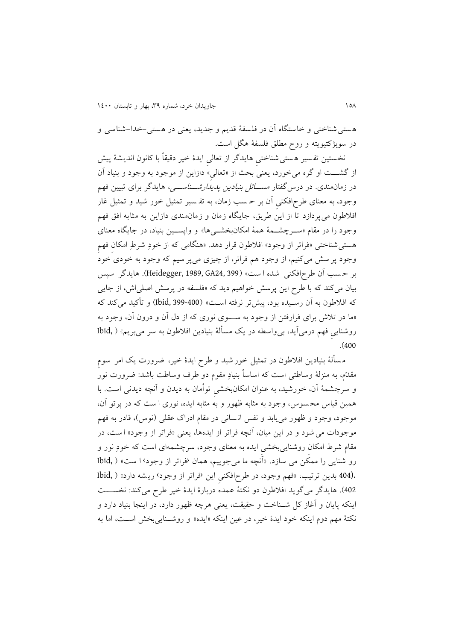هستی شناختی و خاستگاه آن در فلسفت قدي، و جديد، يعنی در هستی -خدا-شناس ی و در سوبژکتیويته و روح مطلق فلسفت هگل اسج.

نخستین تفسیر هستی شناختی هایدگر از تعالی ایدهٔ خیر دقیقاً با کانون اندیشهٔ پیش از گشـــت او گره میخورد، يعنی بحث از «تعالی» دازاين از موجود به وجود و بنياد آن در زمانمندی. در درس<sup>گفتار مســــ*ائل بنیادین پدیدارشــــناســــی*، هایدگر برای تبیین فهم</sup> وجود، به معنای طرحافکنی آن بر حـ سب زمان، به تفـ سیر تمثیل خور شید و تمثیل غار افلاطون میپردازد تا از اين طريق، جايگاه زمان و زمان مندی دازاين به مثابه افق فهم وجود را در مقام «سـرچشــمهٔ همهٔ امکانبخشــیها» و واپســین بنیاد، در جایگاه معنای هستی شناختی »فراتر از وجود« افالطون قرار دهد. »هنگامی که از خودِ شرمِ امکانِ فهِ، وجود پر سش میکنیم، از وجود هم فراتر، از چیزی میپر سیم که وجود به خودی خود بر حسب آن طرح افکنی شده ا ست» (Heidegger, 1989, GA24, 399). هايدگر سپس بیان میکند که با طرح اين پرسش خواهیم ديد که «فلسفه در پرسش اصلی اش، از جايی که افلاطون به آن رسـیده بود، پیشتر نرفته اسـت» (400-16id, 399) و تأکید میکند که «ما در تلاش برای فرارفتن از وجود به سـوی نوری که از دل آن و درون آن، وجود به روشنايی فهم درمی آيد، بی واسطه در يک مسألهٔ بنيادين افلاطون به سر می بريم» ( ,Ibid .)400

مسألهٔ بنیادین افلاطون در تمثیل خور شید و طرح ایدهٔ خیر، ضرورت یک امر سوم مقدّم، به منزلهٔ وساطتی است که اساساً بنیادِ مقوم دو طرف وساطت باشد: ضرورت نور و سرچشمت آن، خورشید، به عنوان امکان بخشیِ توأمان به ديدن و آنچه ديدنی اسج. با همین قیاس محسوس، وجود به مثابه ظهور و به مثابه ایده، نوری ا ست که در پرتو آن، موجود، وجود و ظهور می یابد و نفس انسانی در مقام ادراک عقلی (نوس)، قادر به فهم موجودات میشود و در اين میان، آنچه فراتر از ايدهها، يعنی »فراتر از وجود« اسج، در مقام شرط امکان روشنایی بخشی ایده به معنای وجود، سرچشمهای است که خودِ نور و رو شنايی را ممکن می سازد. «آنچه ما می جوییم، همان ‹فراتر از وجود› ا ست» ( ,Ibid .(404 بدين ترتيب، «فهم وجود، در طرح افكنى اين ‹فراتر از وجود› ريشه دارد» ( ,Ibid 402). هايدگر میگويد افلاطون دو نکتهٔ عمده دربارهٔ ايدهٔ خیر طرح میکند: نخســـت اينکه پايان و آغاز کل شــناخت و حقیقت، يعنی هرچه ظهور دارد، در اينجا بنياد دارد و نکتهٔ مهم دوم اينکه خود ايدهٔ خير، در عين اينکه «ايده» و روشـنايی بخش اسـت، اما به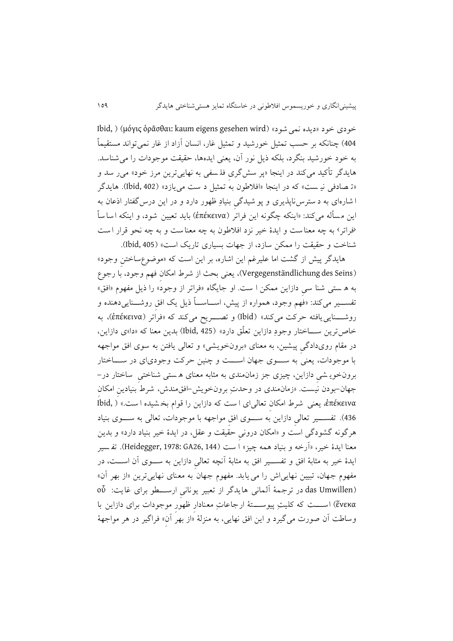Ibid, ) (μόγις ὁρᾶσθαι: kaum eigens gesehen wird) خودی خود «دیده نمی شود» 404) چنانکه بر حسب تمثیل خورشید و تمثیل غار، انسان آزاد از غار نمیتواند مستقیماً به خود خورشید بنگرد، بلکه ذیل نور آن، یعنی ایدهها، حقیقت موجودات را می شناسد. هایدگر تأکید میکند در اینجا «پر سشگری فل<sub>اس</sub>فی به نهاییترین مرز خود» می ر سد و «ت صادفی نیـ ست» که در اینجا «افلاطون به تمثیل د ست می یازد» (Ibid, 402). هایدگر ا شاره ای به د سترس ناپذيری و پو شیدگیِ بنیادِ ظهور دارد و در اين درسگفتار اذعان به اين مسأله می کند: «اينکه چگونه اين فراتر (ἐπέκεινα) بايد تعيين شود، و اينکه اسا ساً «فراتر› به چه معنا ست و ايدهٔ خیر نزد افلاطون به چه معنا ست و به چه نحو قرار است شناخت و حقیقت را ممکن سازد، از جهات بسیاری تاریک است» (Ibid, 405).

هايدگر پيش از گشت اما عليرغم اين اشاره، بر اين است که «موضوعٖساختن وجود» )Seins des Vergegenständlichung)، يعنی بحث از شرم امکانِ فه، وجود، با رجوع به ه ستی شنا سی دازاين ممکن ا ست. او جايگاه «فراتر از وجود» را ذيل مفهوم «افق» تفســير میکند: «فهم وجود، همواره از پیش، اســـاســـاً ذيل يک افق روشـــنايی9دهنده و روشةةةنايی يافته حرکج می کند « )Ibid )و تصةةةريح میکند که »فراتر )ἐπέκεινα)، به خاص ترين ســـاختار وجودِ دازاين تعلّق دارد» (1bid, 425) بدين معنا که «دا»ی دازاين، در مقام رویدادگیِ پیشین ، به معنای »برونخويشی « و تعالی يافتن به سوی افق مواجهه با موجودات، يعنی به ســــوی جهان اســــت و چنین حرکت وجودی|ی در ســــاختار برونخوی شی دازاین، چیزی جز زمان $\omega$ ندی به مثابه معنای ه ستی شناختی  $\omega$ اختار در -جهان-بودن نیسج. »زمانمندی در وحدتِ برونخويش-افقمندش، شرم بنیادينِ امکانِ ἐπέκεινα، يعنی شرم امکانِ تعالی ای ا سج که دازاين را قوام بخ شیده ا سج. « ) ,Ibid 436). تفســـير تعالی دازاين به ســـوی افق مواجهه با موجودات، تعالی به ســـوی بنیاد هرگونه گشودگی است و «امکان درونیِ حقیقت و عقل، در ایدهٔ خیر بنیاد دارد» و بدین معنا ايدة خیر، »آرخه و بنیاد همه چیز« ا سج )144 26,GA 1978: ,Heidegger). تف سیر ايدهٔ خیر به مثابهٔ افق و تفســـير افق به مثابهٔ آنچه تعالیِ دازاين به ســـوی آن اســـت، در مفهوم جهان، تبيين نهايی اش را می يابد. مفهوم جهان به معنای نهايی ترين «از بهر آن» وoὖ (das Umwillen) در ترجمهٔ آلمانی هايدگر از تعبير يونانیِ ارســــطو برای غايت: οὖ ένεκα) اســـت که کلیتِ پیوســـتهٔ ارجاعاتِ معنادارِ ظهورِ موجودات برای دازاين با وساطت آن صورت می گیرد و این افق نهایی، به منزلهٔ «از بهر آن» فراگیر در هر مواجههٔ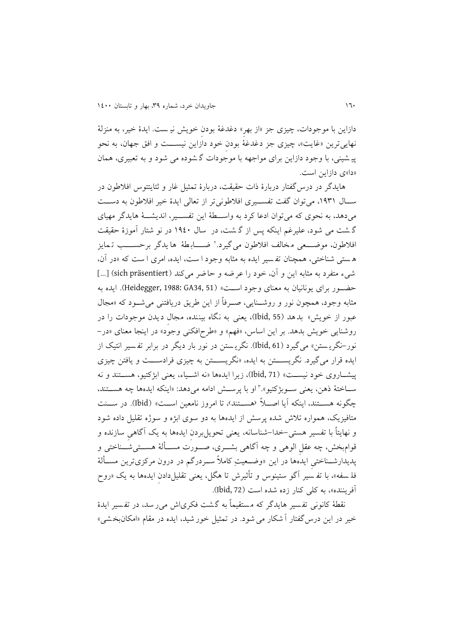دازاين با موجودات، چیزی جز »از بهرِ« دغدغت بودنِ خويش نی سج . ايدة خیر، به منزلت نهايیترين «غايت»، چیزی جز دغدغهٔ بودن خود دازاين نیســـت و افق جهان، به نحو پی شینی، با وجود دازاين برای مواجهه با موجودات گ شوده می شود و به تعویری، همان «دا»ی دازاين است.

هايدگر در درس گفتار دربارهٔ ذات حقیقت، دربارهٔ تمثیل غار و ثئایتتوس افلاطون در سال ۱۹۳۱، می توان گفت تفسـيری افلاطونیتر از تعالی ايدهٔ خیر افلاطون به دســت میدهد، به نحوی که میتوان ادعا کرد به واسـطهٔ اين تفســير، انديشــهٔ هايدگر مهيای گ شت می شود، علیرغم اینکه پس از گ شت، در سال ۱۹٤۰ در نو شتار آموزهٔ حقیقت فلاطون، موضـــعی مخالف افلاطون میگیرد.' ضــــابـطهٔ ها یدگر برحســــب تـمایز ه ستی شناختی، همچنان تفسیر ایده به مثابه وجود ا ست، ایده، امری ا ست که «در آن، شیء متفرد به مثابه این و آن، خود را عرضه و حاضر می کند (sich präsentiert) [...] حضور برای يونانیان به معنای وجود است» (Heidegger, 1988: GA34, 51). ايده به مثابه وجود، همچون نور و روشــنايی، صــرفاً از اين طريق دريافتنی میشــود که «مجال عبور از خويش» بدهد (55 ,Ibid)، يعنی به نگاه بيننده، مجال ديدن موجودات را در روشنايی خويش بدهد. بر اين اساس، »فه،« و »طرحافکنی وجود« در اينجا معنای »در- نور-نگري ستن « میگیرد )61 ,Ibid). نگري ستن در نور بار ديگر در برابر تف سیر انتیک از ايده قرار میگیرد. نگريستان به ايده، «نگريستتن به چیزی فرادســت و يافتن چیزی پیشاروی خود نیست» (Ibid, 71)، زيرا ايدهها «نه اشـياء، يعنی ابژکتيو، هســتند و نه سـاختهٔ ذهن، يعنی ســوبژکتيو».<sup>٦</sup> او با پرســش ادامه میدهد: «اينکه ايدهها چه هســتند، چگونه هســتند، اينکه آيا اصــلاً ‹هســتند›، تا امروز نامعين اســت» (Ibid). در ســنت متافيزيک، همواره تلاش شده پرسش از ايدهها به دو سوی ابژه و سوژه تقليل داده شود و نهايتاً با تفسير هستی–خدا-شناسانه، يعنی تحويل بردن ايدهها به يک آگاهیِ سازنده و قوامبخش، چه عقل الوهی و چه آگاهی بشــری، صــورت مســألهٔ هســتیشــناختی و پديدارشــناختی ايدهها در اين «وضــعيتِ کاملاً ســردرگم در درون مرکزیترين مســألهٔ فل سفه»، با تف سیر آگو ستینوس و تأثیرش تا هگل، یعنی تقلیلدادن ایدهها به یک «روح آفريننده»، به کلي کنار زده شده است (1bid, 72).

نقطهٔ کانونی تفسیر هایدگر که مستقیماً به گشت فکریاش میر سد، در تفسیر ایدهٔ خیر در این درس گفتار آ شکار می شود. در تمثیل خور شید، ایده در مقام «امکانبخشی»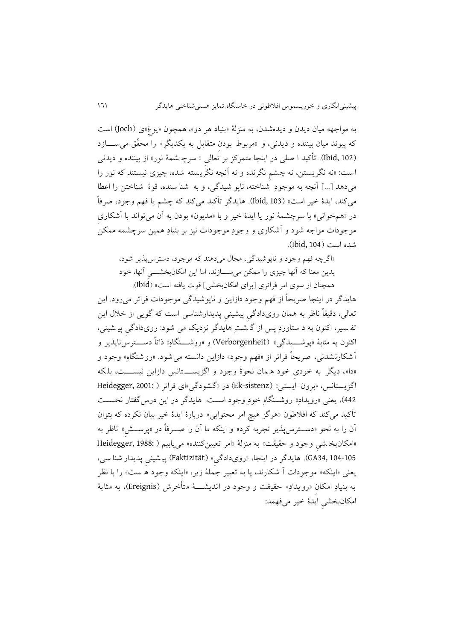به مواجهه میان دیدن و دیدهشدن، به منزلهٔ «بنیاد هر دو»، همچون «يوغ»ی (Joch) است که پیوند میان بیننده و دیدنی، و «مربوط بودن متقابل به یکدیگر» را محقّق می ســازد (Ibid, 102). تأکید ا صلی در اینجا متمرکز بر تعالی « سرچ شمهٔ نور» از بیننده و دیدنی است: «نه نگریستن، نه چشم نگرنده و نه آنچه نگریسته شده، چیزی نیستند که نور را میدهد ]...[ آنچه به موجودِ شناخته، ناپو شیدگی، و به شنا سنده، قوة شناختن را اعطا میکند، ايدهٔ خیر است» (Ibid, 103). هايدگر تأکيد میکند که چشم يا فهم وجود، صرفاً در «همخوانی» با سرچشمهٔ نور يا ايدهٔ خیر و با «مديون» بودن به آن میتواند با آشکاری موجودات مواجه شود و آشکاری و وجودِ موجودات نیز بر بنیادِ همین سرچشمه ممکن شده است (104, 104).

»اگرچه فه، وجود و ناپوشیدگی، مجال می دهند که موجود، دسترس پذير شود، بدين معنا که آنها چيزی را ممکن میسازند، اما اين امکانبخشـــی آنها، خود همچنان از سوی امر فراتری [برای امکانبخشی] قوت يافته است» (Ibid).

هايدگر در اينجا صريحاً از فه، وجود دازاين و ناپوشیدگی موجودات فراتر میرود. اين تعالی، دقیقاً ناظر به همان رویدادگیِ پیشینیِ پديدارشناسی اسج که گويی از خالل اين تف سیر، اکنون به د ستاوردِ پس از گ شتِ هایدگر نزدیک می شود: رویدادگی پی شینی، اکنون به مثابهٔ «پوشـــيدگی» (Verborgenheit) و «روشـــنگاهِ» ذاتاً دســـترسiاپذير و آشکار نشدنی، صريحاً فراتر از »فه، وجود« دازاين دانسته می شود . »روشنگاهِ « وجود و «دا»، ديگر به خودی خود ه مان نحوهٔ وجود و اگزيســــتانس دازاين نيســــت، بلکه اگزيستانس، «برون-ايستي» (Ek-sistenz) در «گشودگی»ای فراتر ( :Heidegger, 2001 442)، يعنی «رويدادِ» روشــنگاهِ خودِ وجود اســت. هايدگر در اين درس&فتار نخســت تأکید می کند که افلاطون «هرگز هیچ امر محتوایی» دربارهٔ ایدهٔ خیر بیان نکرده که بتوان آن را به نحو »دسةةترسپذير تجربه کرد« و اينکه ما آن را صةةرفاً در »پرسةةشِ« ناظر به «امکان بخ شی وجود و حقیقت» به منزلهٔ «امر تعیینکننده» می یابیم ( :Heidegger, 1988 104-105 34,GA). هايدگر در اينجا، »رویدادگیِ« )Faktizität )پی شینیِ پديدار شنا سی، يعنی «اينکه» موجودات آ شکارند، يا به تعبير جملهٔ زير، «اينکه وجود ه ست» را با نظر به بنيادِ امکان «رويدادِ» حقيقت و وجود در انديشــــهٔ متأخرش (Ereignis)، به مثابهٔ امکانبخشیِ ايدة خیر میفهمد: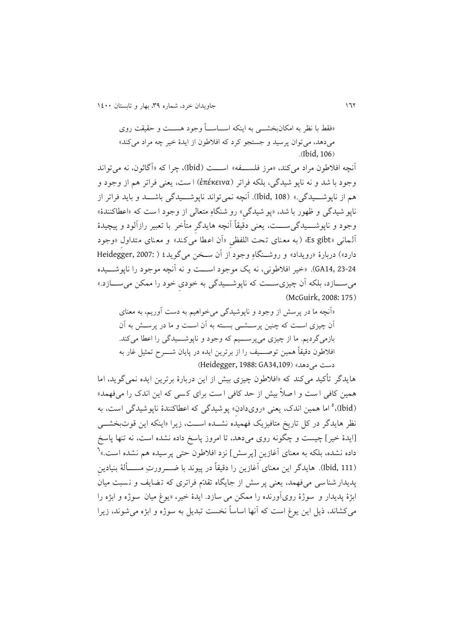211 جاويدان خرد، شماره ،93 بهار و تابستان 2411

«فقط با نظر به امکانبخشـــی به اینکه اســـاســـاً وجود هســـت و حقیقت روی میدهد، میتوان پرسید و جستجو کرد که افالطون از ايدة خیر چه مراد میکند«  $(Ibid, 106)$ 

آنچه افلاطون مراد می کند، «مرز فلســــفه» اســــت (Ibid)، چرا که «آگاثون، نه می تواند وجود با شد و نه ناپو شيدگي، بلكه فراتر (ἐπέκεινα) ا ست، يعني فراتر هم از وجود و هم از ناپوشـــيدگی.» (108 ,Ibid). آنچه نمی تواند ناپوشـــيدگی باشـــد و بايد فراتر از ناپو شیدگی و ظهور با شد، «پو شیدگی» رو شنگاهِ متعالی از وجود ا ست که «اعطاکنندهٔ» وجود و ناپوشــــيدگی۳ســـت، يعنی دقیقاً آنچه هايدگرِ متأخر با تعبير رازآلود و پیچیدهٔ آلمانی »gibt Es( »به معنای تحج اللفظیِ »آن اعطا می کند « و معنای متداولِ »وجود دارد») دربارهٔ «رويداد» و روشـنگاه وجود از آن سـخن می گويد٤ ( :Heidegger, 2007 23-24 14,GA).« خیر افالطونی، نه يک موجود اسةةةج و نه آنچه موجود را ناپوشةةةیده می ســازد، بلکه آن چیزی ســت که ناپوشــیدگی به خودی خود را ممکن می ســازد.» (McGuirk, 2008: 175)

«آنچه ما در پرسش از وجود و ناپوشیدگی میخواهیم به دست آوریم، به معنای آن چیزی اســت که چنین پرســشــی بســته به آن اســت و ما در پرســش به آن بازمی گرديم. ما از چيزی می پرســيم که وجود و ناپوشـــيدگی را اعطا می کند. افلاطون دقیقاً همین توصــــیف را از برترین ایده در پایان شـــــرح تمثیل غار به دست می دهد» (Heidegger, 1988: GA34,109)

هايدگر تأكيد می كند كه «افلاطون چیزی بیش از اين دربارهٔ برترين ايده نمی گويد، اما همین کافی ا ست و ا صلاً بیش از حد کافی ا ست برای کسی که این اندک را میفهمد» (Ibid)،<sup>0</sup> اما همین اندک، یعنی «رویدادنِ» پوشیدگی که اعطاکنندهٔ ناپوشیدگی است، به نظر هايدگر در کل تاريخ متافيزيک فهميده نشــده اســت، زيرا «اينکه اين قوتبخشـــي ]ايدة خیر[ چیسج و چگونه روی می دهد، تا امروز پاسخ داده نشده اسج، نه تنها پاسخ داده نشده، بلکه به معنای آغازینِ [پرسش] نزد افلاطون حتی پرسیده هم نشده است.»<sup>٦</sup> (Ibid, 111). هايدگر اين معنای آغازين را دقیقاً در پیوند با ضــــرورتِ مســــألهٔ بنیادین پديدار شنا سی میفهمد، يعنی پر سش از جايگاه تقدّم فراتری که تـضايف و نـسبت ميان ابژهٔ پديدار و سوژهٔ روی آورنده را ممکن می سازد. ايدهٔ خير، «يوغ ميان سوژه و ابژه را میکشاند، ذيل اين يوغ است که آنها اساساً نخست تبديل به سوژه و ابژه میشوند، زيرا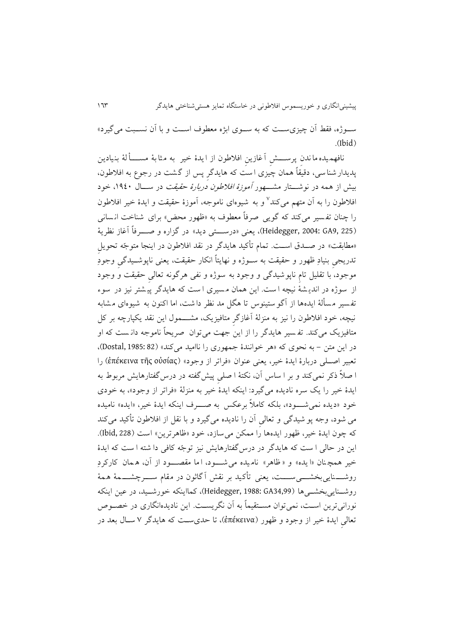سـوژه، فقط آن چیزی ســت که به ســوی ابژه معطوف اســت و با آن نســبت می گیرد»  $(Ibid)$ 

نافهمیده ما ندن پرســــش آغازينِ افلاطون از ا یدهٔ خیر به مثابهٔ مســــألهٔ بنیادین پدیدار شنا سی، دقیقاً همان چیزی ا ست که هایدگر پس از گشت در رجوع به افلاطون، بیش از همه در نوشـــتار مشــــهور *آموزهٔ افلاطون دربارهٔ حقیقت* در ســـال ۱۹٤۰، خود ُفلاطون را به أن متهم میکند<sup>۷</sup> و به شیوهای ناموجه، آموزهٔ حقیقت و ایدهٔ خیر افلاطون را چنان تف سیر می کند که گويی صرفاً معطوف به »ظهور محض« برای شناخج ان سانی (Heidegger, 2004: GA9, 225)، يعني «درســــتی ديد» در گزاره و صـــــرفاً آغاز نظرية «مطابقت» در صـدق اســت. تمام تأکید هایدگر در نقد افلاطون در اینجا متوجّه تحویل تدريجیِ بنیادِ ظهور و حقیقت به سـوژه و نهايتاً انکار حقیقت، يعنی ناپوشــيدگی وجودِ موجود، با تقلیل تام ناپوشیدگی و وجود به سوژه و نفی هرگونه تعالی حقیقت و وجود از سوژه در انديشهٔ نیچه است. این همان مسیری است که هایدگر پیشتر نیز در سوء تفسیر مسألهٔ ایدهها از آگو ستینوس تا هگل مد نظر داشت، اما اکنون به شیوهای مشابه نیچه، خود افلاطون را نیز به منزلهٔ آغازگر متافیزیک، مشــــمول این نقد یکپارچه بر کل متافیزيک میکند. تف سیر هايدگر را از اين جهج میتوان صريحاً ناموجه دان سج که او در اين متن - به نحوی که »هر خوانندة جمهوری را ناامید میکند« )82 1985: ,Dostal)، تعبیر اصلی دربارهٔ ايدهٔ خیر، يعنی عنوان «فراتر از وجود» (ἐπέκεινα τῆς οὐσίας) را ا صالً ذکر نمی کند و بر ا ساس آن، نکتت ا صلیِ پیش گفته در درسگفتارهايش مربوم به ايدهٔ خیر را يک سره ناديده میگیرد: اينکه ايدهٔ خیر به منزلهٔ «فراتر از وجود»، به خودی خود «ديده نمي شــود»، بلکه کاملاً برعکس به صــرف اينکه ايدهٔ خیر، «ايده» ناميده می شود، وجه پو شیدگی و تعالیِ آن را ناديده میگیرد و با نقل از افالطون ت کید میکند که چون ايدهٔ خير، ظهور ايدهها را ممکن مي سازد، خود «ظاهرترين» است (Ibid, 228). اين در حالی ا سج که هايدگر در درس گفتارهايش نیز توجّه کافی دا شته ا سج که ايدة خیر همچنان «ایده» و «ظاهر» نامیده می شـود، اما مقصـود از آن، ه مان کارکردِ روشــــنايی بخشــــی۳ســـت، يعنی تأکيد بر نقش آگاثون در مقام ســــرچشـــــمهٔ هـمهٔ روشـنايیبخشــیها (Heidegger, 1988: GA34,99)، کمااينکه خورشــيد، در عین اينکه نورانی ترين اسـت، نمی توان مسـتقیماً به آن نگريسـت. اين ناديدهانگاری در خصـوص تعالیِ ايدة خیر از وجود و ظهور )ἐπέκεινα)، تا حدیسةج که هايدگر 2 سةال بعد در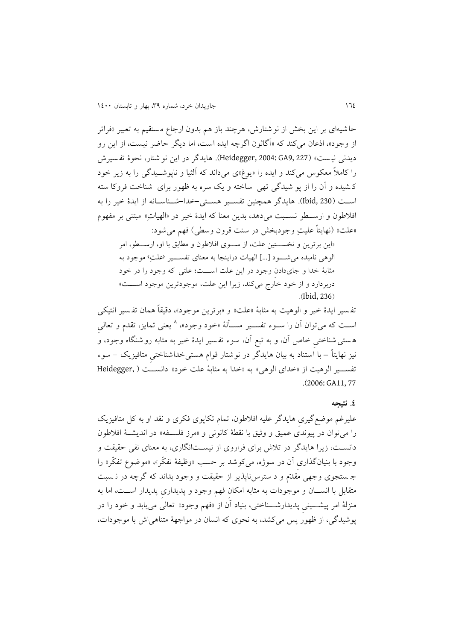حاشیهای بر این بخش از نوشتارش، هرچند باز هم بدون ارجاع مستقیم به تعبیر «فراتر از وجود»، اذعان میکند که «آگاثون اگرچه ايده است، اما ديگر حاضر نيست، از اين رو ديدنی نيست» (Gaidegger, 2004: GA9, 227). هايدگر در اين نو شتار، نحوهٔ تفسيرش را کاملاً معکوس میکند و ايده را «يوغ»ی میداند که آلثيا و ناپوشــيدگی را به زير خود ک شیده و آن را از پو شیدگی تهی ساخته و يک سره به ظهور برای شناخج فروکا سته است (Ibid, 230). هايدگر همچنين تفسـير هسـتی-خدا-شــناسـانه از ايدهٔ خیر را به افلاطون و ارسـطو نسـبت می دهد، بدين معنا که ايدهٔ خیر در «الهیاتِ» مبتنی بر مفهوم «علت» (نهايتاً عليتِ وجودبخش در سنت قرون وسطی) فهم می شود:

«اين برترين و نخسـتين علت، از سـوی افلاطون و مطابق با او، ارسـطو، امر الوهی نامیده می شود [...] الهیات دراینجا به معنای تفســـیر (علتِ؟ موجود به مثابهٔ خدا و جایدادن وجود در اين علت اســـت؛ علتی که وجود را در خود دربردارد و از خود خارج می کند، زيرا اين علت، موجودترين موجود است» .(Ibid, 236)

تفسیر ایدهٔ خیر و الوهیت به مثابهٔ «علت» و «برترین موجود»، دقیقاً همان تفسیر انتیکی اسـت که می توان أن را ســوء تفســير مســألهٔ «خود وجود»، ^ يعنی تمايز، تقدم و تعالیِ هستی شناختی خاص آن، و به تبع آن، سوء تفسیر ایدهٔ خیر به مثابه رو شنگاه وجود، و نیز نهایتاً – با استناد به بیان هایدگر در نوشتار قوام هستی خداشناختی متافیزیک – سوء تفسـير الوهيت از «خدای الوهی» به «خدا به مثابهٔ علت خود» دانسـت ( ,Heidegger .)2006: GA11, 77

#### **.0 نتیجه**

علیرغم موضع گیری هایدگر علیه افلاطون، تمام تکاپوی فکری و نقد او به کل متافیزیک را میتوان در پیوندی عمیق و وثیق با نقطهٔ کانونی و «مرز فلسـفه» در اندیشـهٔ افلاطون دانست، زيرا هايدگر در تلاش برای فراروی از نیستانگاری، به معنای نفی حقیقت و وجود با بنیانگذاری آن در سوژه، می کوشد بر حسب «وظیفهٔ تفکّر»، «موضوع تفکّر» را ج ستجوی وجهی مقدّم و د سترسiپذیر از حقیقت و وجود بداند که گرچه در ن سبت متقابل با انســان و موجودات به مثابه امکان فهم وجود و پديداری پديدار اســت، اما به منزلهٔ امر پیشـــینی پدیدارشـــناختی، بنیاد آن از «فهم وجود» تعالی می یابد و خود را در پوشیدگی، از ظهور پس میکشد، به نحوی که انسان در مواجهت متناهیاش با موجودات،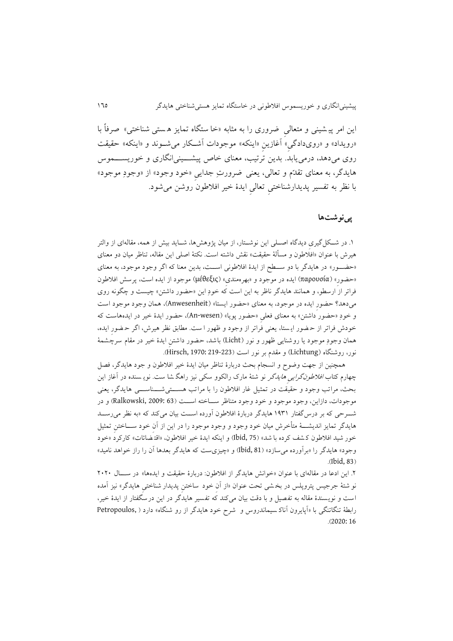اين امر پیشینی و متعالی ضروری را به مثابه «خا ستگاه تمايز هستی شناختی» صرفاً با «رويداد» و «رویدادگی» آغازينِ «اينکه» موجودات آشـکار میشـوند و «اينکه» حقيقت روی میدهد، درمی یابد. بدین ترتیب، معنای خاص پیشـــینیانگاری و خوریســــموس هايدگر، به معنای تقدّم و تعالی، يعنی ضرورتِ جدايیِ »خود وجود« از »وجودِ موجود« با نظر به تفسیر پديدارشناختیِ تعالیِ ايدة خیر افالطون روشن میشود.

# **پینوشتها**

۱. در شــکل گیری دیدگاه اصـــلی این نوشــتار، از میان پژوهشها، شــاید بیش از همه، مقالهای از والتر هیرش با عنوان «افلاطون و مسألهٔ حقیقت» نقش داشته است. نکتهٔ اصلی این مقاله، تناظر میان دو معنای «حضـور» در هايدگر با دو سـطح از ايدهٔ افلاطونی اســت، بدين معنا که اگر وجود موجود، به معنای »حضورِ « )παρουσία )ايده در موجود و »بهرهمندیِ« )μέθεξις )موجود از ايده اسج، پرسش افالطون فراتر از ارسطو، و همانند هايدگر ناظر به اين اسج که خودِ اين »حضور داشتن « چیسج و چگونه روی میدهد؟ حضورِ ايده در موجود، به معناي «حضورِ ايستا» (Anwesenheit)، همان وجود موجود است و خودِ «حضور داشتن» به معنای فعلی «حضور پویا» (An-wesen)، حضور ایدهٔ خیر در ایدههاست که خودش فراتر از ح ضور اي ستا، يعنی فراتر از وجود و ظهور ا سج. مطابق نظر هیرش، اگر ح ضورِ ايده، همان وجودِ موجود يا روشنايي ظهور و نور (Licht) باشد، حضور داشتنِ ايدهٔ خیر در مقام سرچشمهٔ نور، روشنگاه (Lichtung) و مقدم بر نور است (223-Hirsch, 1970: 219-223).

همچنین از جهج وضوح و انسجام بحث دربارة تناظر میان ايدة خیر افالطون و جود هايدگر، فصل چهارم کتاب *افلاطونگرايی هايدگر* نو شتهٔ مارک رالکوو سکی نيز راهگ شا ست. نويـ سنده در آغاز اين بحث، مراتب وجود و حقیقت در تمثیل غار افلاطون را با مراتب هستی شـــناســـی هایدگر، یعنی موجودات، دازاين، وجود موجود و خود وجود متناظر ســاخته اســـت (Ralkowski, 2009: 63 و در شـوحی که بر درس گفتار ۱۹۳۱ هايدگر دربارهٔ افلاطون آورده اسـت بیان میکند که «به نظر می رســد هايدگر تمايز انديشــــهٔ متأخرش میان خود وجود و وجود موجود را در اين از آن خود ســــاختن تمثيل خور شید افلاطون ک شف کرده با شد» (15 ,Ibid) و اینکه ایدهٔ خیر افلاطون، «اقت ضائات» کارکرد «خود وجود» هايدگر را «برآورده می سازد» (Ibid, 81) و «چيزي ست که هايدگر بعدها آن را راز خواهد ناميد» .(Ibid, 83)

.1 اين ادعا در مقاله ای با عنوان »خوانش هايدگر از افالطون: دربارة حقیقج و ايده ها« در سةةةال 1111 نو شتهٔ جرجیس پتروپلس در بخشی تحت عنوان «از آن خود ساختن پدیدار شناختی هایدگر» نیز آمده است و نويسندهٔ مقاله به تفصیل و با دقت بیان می کند که تفسیر هایدگر در این درسگفتار از ایدهٔ خیر، رابطت تنگاتنگی با »آپايرون آناک سیماندروس و شرح خود هايدگر از رو شنگاه « دارد ) ,Petropoulos .)2020: 16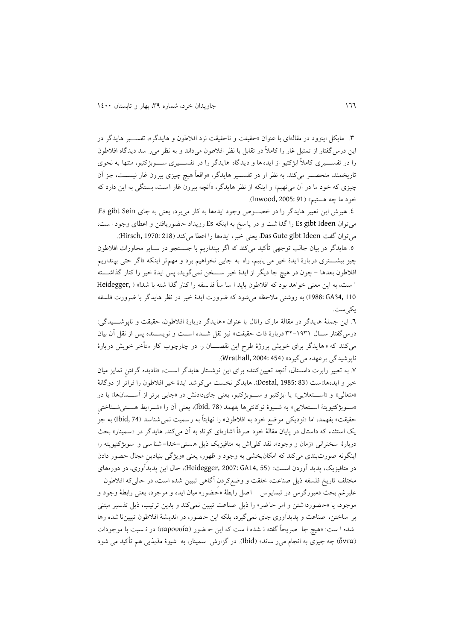.9 مايکل اينوود در مقالهای با عنوان »حقیقج و ناحقیقج نزد افالطون و هايدگر«، تفسةةیر هايدگر در اين درس گفتار از تمثيل غار را كاملاً در تقابل با نظر افلاطون میداند و به نظر می ر سد ديدگاه افلاطون را در تفســــيری کاملاً ابژکتیو از ايده ها و ديدگاه هايدگر را در تفســــيری ســــوبژکتيو، منتها به نحوی تاريخمند، منحصـــر میکند. به نظر او در تفســـير هايدگر، «واقعاً هیچ چیزی بیرون غار نیســـت، جز آن چیزی که خود ما در آن می $\mathfrak{s}_{\star}$ » و اینکه از نظر هایدگر، «آنچه بیرون غار است، بستگی به این دارد که خود ما چه هستیم» (Inwood, 2005: 91).

8. هیرش این تعبیر هایدگر را در خصـوص وجود ايدهها به کار میبرد، يعنی به جای Es gibt Sein. میتوان Es gibt Ideen را گذاشت و در پا سخ به اينکه Es رويداد حضوريافتن و اعطای وجود است، میتوان گفج Ideen gibt Gute Das، يعنی خیر، ايدهها را اعطا میکند )218 1970: ,Hirsch).

0. هايدگر در بيان جالب توجهی تأکيد میکند که اگر بپنداريم با جسـتجو در سـاير محاورات افلاطون چیز بیشــــتری دربارهٔ ايدهٔ خیر می يابیم، راه به جايی نخواهیم برد و مهم;تر اينکه «اگر حتی بپنداريم افلاطون بعدها - چون در هیچ جا ديگر از ايدهٔ خير ســـخن نمیگويد، پس ايدهٔ خير را کنار گذاشـــته ا ست، به اين معنی خواهد بود که افلاطون بايد ا سا ساً فلـ سفه را کنار گذا شته با شد!» ( ,Heidegger 110 34,GA 1988: )به روشنی مالحظه میشود که ضرورت ايدة خیر در نظر هايدگر با ضرورت فلسفه يکی ست.

٦. اين جملهٔ هايدگر در مقالهٔ مارك راتال با عنوان «هايدگر دربارهٔ افلاطون، حقيقت و ناپوشـــيدگي: درسگفتار ســال ۱۹۳۱-۳۲ دربارهٔ ذات حقیقت» نیز نقل شــده اســت و نویســنده پس از نقل آن بیان میکند که «هايدگر برای خويش پروژهٔ طرح اين نقصــــان را در چارچوب کار متأخر خويش دربارهٔ ناپوشیدگی برعهده میگیرد« )454 2004: ,Wrathall).

.2 به تعویر رابرت داسةتال، آنچه تعیینکننده برای اين نوشةتار هايدگر اسةج، »ناديده گرفتنِ تمايز میان خیر و ايدهها»ست (Bostal, 1985: 83). هايدگر نخست می کوشد ايدهٔ خیر افلاطون را فراتر از دوگانهٔ «متعالى» و «استعلايى» يا ابژکتيو و سوبژکتيو، يعنی جایدادنش در «جايی برتر از آسـمانها» يا در «سوبژکتیویتهٔ استعلایی» به شـیوهٔ نوکانتیها بفهمد (Ibid, 78)، یعنی آن را «شـرایط هسـتیشـناختی حقیقت» بفهمد، اما «نزدیکی موضع خود به افلاطون» را نهایتاً به رسمیت نمی شناسد (Ibid, 74) به جز يک استثناء که داستال در پايان مقالهٔ خود صرفاً اشارهای کوتاه به آن میکند. هايدگر در «سمينار» بحث دربارهٔ سخنرانی «زمان و وجود»، نقد کلی|ش به متافیزیک ذیل هستی–خدا–شنا سی و سوبژکتیویته را اينگونه صورت بندی میکند که امکانبخشی به وجود و ظهور، يعنی »ويژگی بنیادينِ مجال حضور دادن در متافيزيک، پديد آوردن اسـت» (GHeidegger, 2007: GA14, 55)، حال اين پديدآوری، در دورههای مختلف تاريخ فلسفه ذيل صناعت، خلقت و وضع کردن آگاهی تبيين شده است، در حالی که افلاطون – علیرغ، بحث دمیورگوس در تیمايوس – اصل رابطت »حضور « میان ايده و موجود، يعنی رابطت وجود و موجود، يا «حضورداشتن و امر حاضر» را ذيل صناعت تبيين نمي کند و بدين ترتيب، ذيل تفسير مبتني بر ساختن، صناعت و پديدآوری جای نمی گیرد، بلکه اين حضور، در انديشهٔ افلاطون تبيين نا شده رها شده ا سج: »هیچ جا صريحاً گفته ن شده ا سج که اين ح ضور )παρουσία )در ن سوج با موجودات (ὄντα) چه چیزی به انجام می رساند» (Ibid). در گزارش سمینار، به شیوهٔ مذبذبی هم تأکید می شود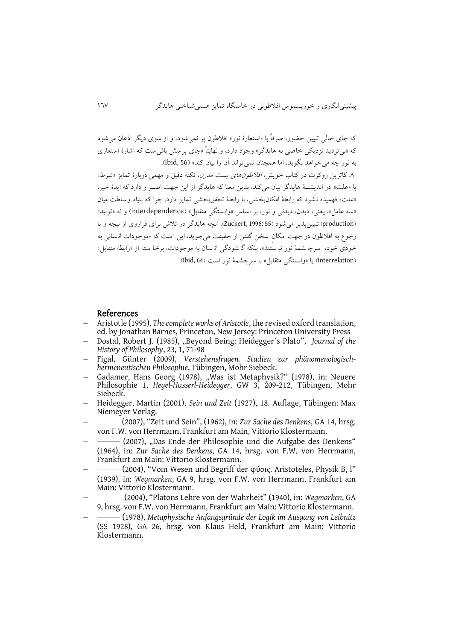که جای خالی تویین حضور، صرفاً با »استعارة نور « افالطون پر نمیشود، و از سوی ديگر اذعان می شود که »بیترديد نزديکی خاصی به هايدگر « وجود دارد، و نهايتاً »جای پرسش باقی سج که اشارة استعا ری به نور چه میخواهد بگويد، اما همچنان نمیتواند آن را بیان کند« )56 ,Ibid).

.<br>٨. کاترين زوکرت در کتاب خويش، *افلاطونهای پست مدرن*، نکتهٔ دقيق و مهمی دربارهٔ تمايز «شرط» با «علت» در انديشــهٔ هايدگر بيان ميکند، بدين معنا که هايدگر از اين جهت اصــرار دارد که ايدهٔ خير، «علت» فهمیده نشود که رابطهٔ امکان بخشی، با رابطهٔ تحقق بخشی تمایز دارد، چرا که بنیاد وساطت میان «سه عامل»، يعنی، ديدن، ديدنی و نور، بر اساس «وابستگی متقابل» (interdependence) و نه «توليد» )production )تویینپذير میشود )55 1996: ,Zuckert). آنچه هايدگر در تالش برای فراروی از نیچه و با رجوع به افلاطون در جهت امکان سخن گفتن از حقیقت می جوید، این است که «موجودات انسانی به خودی خود، سرچ شمهٔ نور نی<sub>ـ</sub>سُتند»، بلکه گـ شودگی انـسان به موجودات، برخا سته از «رابطهٔ متقابل» (interrelation) يا «وابستگی متقابل» با سرچشمهٔ نور است (64 ,Ibid).

## References

- Aristotle (1995), *The complete works of Aristotle*, the revised oxford translation, ed. by Jonathan Barnes, Princeton, New Jersey: Princeton University Press
- Dostal, Robert J. (1985), "Beyond Being: Heidegger's Plato", *Journal of the History of Philosophy*, 23, 1, 71-98
- Figal, Günter (2009), *Verstehensfragen. Studien zur phänomenologischhermeneutischen Philosophie*, Tübingen, Mohr Siebeck.
- Gadamer, Hans Georg (1978), "Was ist Metaphysik?" (1978), in: Neuere Philosophie 1, *Hegel-Husserl-Heidegger*, GW 3, 209-212, Tübingen, Mohr Siebeck.
- Heidegger, Martin (2001), *Sein und Zeit* (1927), 18. Auflage, Tübingen: Max Niemeyer Verlag.
- $\overline{\phantom{a}}$ \_\_\_\_\_\_\_\_\_\_\_\_\_ (2007), "Zeit und Sein", (1962), in: *Zur Sache des Denkens*, GA 14, hrsg. von F.W. von Herrmann, Frankfurt am Main, Vittorio Klostermann.
- $\overline{a}$ - (2007), "Das Ende der Philosophie und die Aufgabe des Denkens" (1964), in: *Zur Sache des Denkens*, GA 14, hrsg. von F.W. von Herrmann, Frankfurt am Main: Vittorio Klostermann.
- $\overline{a}$ \_\_\_\_\_\_\_\_\_\_\_\_\_ (2004), "Vom Wesen und Begriff der φύσις. Aristoteles, Physik B, l" (1939), in: *Wegmarken*, GA 9, hrsg. von F.W. von Herrmann, Frankfurt am Main: Vittorio Klostermann.
- $\overline{\phantom{a}}$ \_\_\_\_\_\_\_\_\_\_\_\_\_ ـ) 2004(," Platons Lehre von der Wahrheit" (1940), in: *Wegmarken*, GA 9, hrsg. von F.W. von Herrmann, Frankfurt am Main: Vittorio Klostermann.
- $\overline{a}$ \_\_\_\_\_\_\_\_\_\_\_\_\_ (1978), *Metaphysische Anfangsgründe der Logik im Ausgang von Leibnitz* (SS 1928), GA 26, hrsg. von Klaus Held, Frankfurt am Main: Vittorio Klostermann.